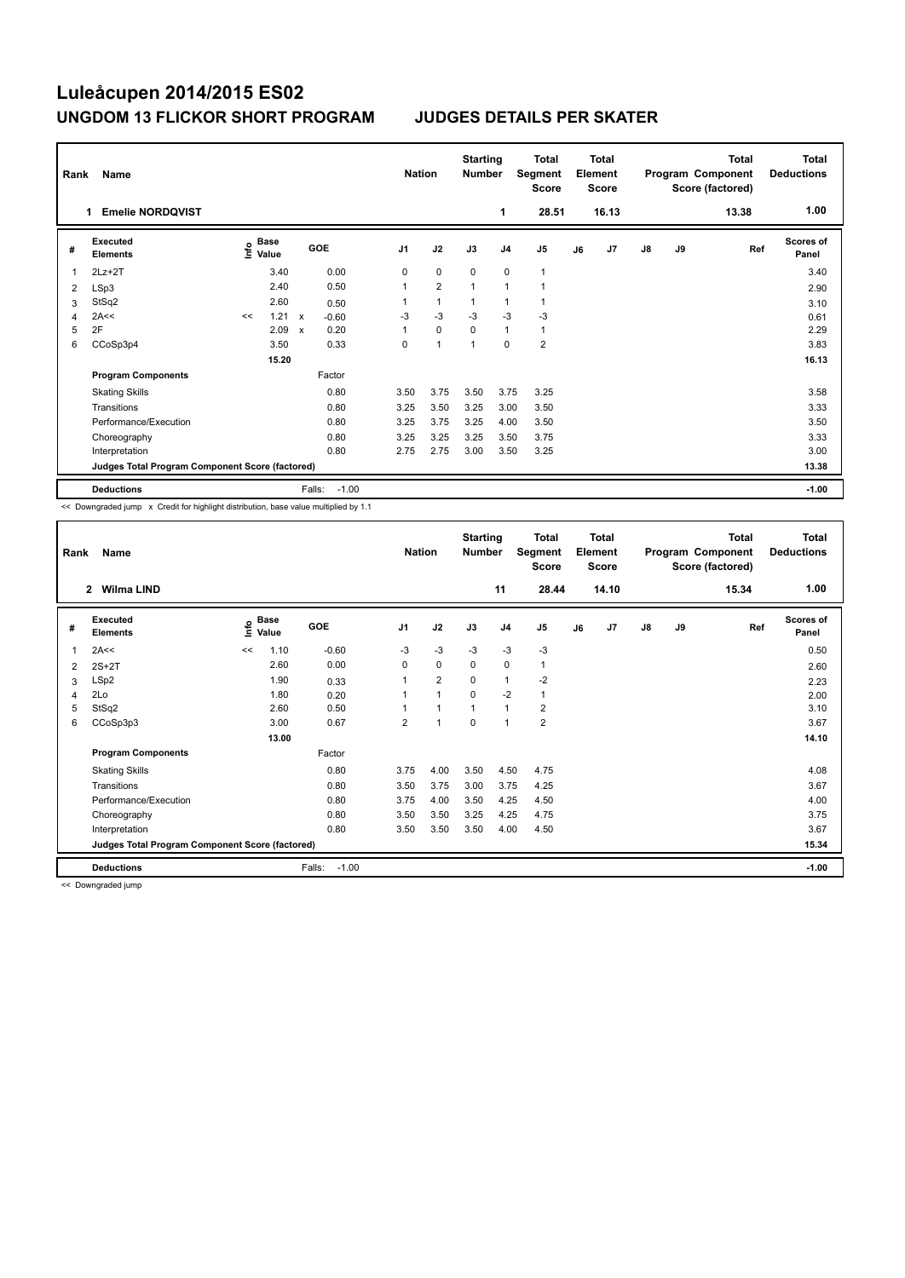| Rank | Name<br><b>Emelie NORDOVIST</b><br>1.           |      |                      |                           |         | <b>Nation</b>  |                | <b>Starting</b><br><b>Number</b> | 1              | <b>Total</b><br>Segment<br><b>Score</b><br>28.51 |    | <b>Total</b><br>Element<br><b>Score</b><br>16.13 |               |    | <b>Total</b><br>Program Component<br>Score (factored)<br>13.38 | Total<br><b>Deductions</b><br>1.00 |
|------|-------------------------------------------------|------|----------------------|---------------------------|---------|----------------|----------------|----------------------------------|----------------|--------------------------------------------------|----|--------------------------------------------------|---------------|----|----------------------------------------------------------------|------------------------------------|
| #    | Executed<br><b>Elements</b>                     | lnfo | <b>Base</b><br>Value |                           | GOE     | J <sub>1</sub> | J2             | J3                               | J <sub>4</sub> | J <sub>5</sub>                                   | J6 | J7                                               | $\mathsf{J}8$ | J9 | Ref                                                            | <b>Scores of</b><br>Panel          |
| 1    | $2Lz+2T$                                        |      | 3.40                 |                           | 0.00    | 0              | $\mathbf 0$    | $\mathbf 0$                      | $\mathbf 0$    | $\mathbf{1}$                                     |    |                                                  |               |    |                                                                | 3.40                               |
| 2    | LSp3                                            |      | 2.40                 |                           | 0.50    | 1              | $\overline{2}$ | $\overline{1}$                   | $\mathbf{1}$   | $\overline{1}$                                   |    |                                                  |               |    |                                                                | 2.90                               |
| 3    | StSq2                                           |      | 2.60                 |                           | 0.50    |                | $\overline{1}$ | -1                               | $\mathbf{1}$   | 1                                                |    |                                                  |               |    |                                                                | 3.10                               |
| 4    | 2A<<                                            | <<   | 1.21                 | $\boldsymbol{\mathsf{x}}$ | $-0.60$ | $-3$           | $-3$           | $-3$                             | $-3$           | $-3$                                             |    |                                                  |               |    |                                                                | 0.61                               |
| 5    | 2F                                              |      | 2.09                 | $\boldsymbol{\mathsf{x}}$ | 0.20    |                | $\mathbf 0$    | $\Omega$                         | $\mathbf{1}$   | $\mathbf{1}$                                     |    |                                                  |               |    |                                                                | 2.29                               |
| 6    | CCoSp3p4                                        |      | 3.50                 |                           | 0.33    | 0              | $\overline{1}$ | 1                                | $\mathbf 0$    | $\overline{\mathbf{c}}$                          |    |                                                  |               |    |                                                                | 3.83                               |
|      |                                                 |      | 15.20                |                           |         |                |                |                                  |                |                                                  |    |                                                  |               |    |                                                                | 16.13                              |
|      | <b>Program Components</b>                       |      |                      |                           | Factor  |                |                |                                  |                |                                                  |    |                                                  |               |    |                                                                |                                    |
|      | <b>Skating Skills</b>                           |      |                      |                           | 0.80    | 3.50           | 3.75           | 3.50                             | 3.75           | 3.25                                             |    |                                                  |               |    |                                                                | 3.58                               |
|      | Transitions                                     |      |                      |                           | 0.80    | 3.25           | 3.50           | 3.25                             | 3.00           | 3.50                                             |    |                                                  |               |    |                                                                | 3.33                               |
|      | Performance/Execution                           |      |                      |                           | 0.80    | 3.25           | 3.75           | 3.25                             | 4.00           | 3.50                                             |    |                                                  |               |    |                                                                | 3.50                               |
|      | Choreography                                    |      |                      |                           | 0.80    | 3.25           | 3.25           | 3.25                             | 3.50           | 3.75                                             |    |                                                  |               |    |                                                                | 3.33                               |
|      | Interpretation                                  |      |                      |                           | 0.80    | 2.75           | 2.75           | 3.00                             | 3.50           | 3.25                                             |    |                                                  |               |    |                                                                | 3.00                               |
|      | Judges Total Program Component Score (factored) |      |                      |                           |         |                |                |                                  |                |                                                  |    |                                                  |               |    |                                                                | 13.38                              |
|      | <b>Deductions</b>                               |      |                      | Falls:                    | $-1.00$ |                |                |                                  |                |                                                  |    |                                                  |               |    |                                                                | $-1.00$                            |

<< Downgraded jump x Credit for highlight distribution, base value multiplied by 1.1

| Rank | <b>Name</b>                                     |    |                      |                   | <b>Nation</b>  |                | <b>Starting</b><br><b>Number</b> |                | <b>Total</b><br>Segment<br><b>Score</b> |    | <b>Total</b><br>Element<br><b>Score</b> |               |    | <b>Total</b><br>Program Component<br>Score (factored) | Total<br><b>Deductions</b> |
|------|-------------------------------------------------|----|----------------------|-------------------|----------------|----------------|----------------------------------|----------------|-----------------------------------------|----|-----------------------------------------|---------------|----|-------------------------------------------------------|----------------------------|
|      | <b>Wilma LIND</b><br>$\mathbf{2}$               |    |                      |                   |                |                |                                  | 11             | 28.44                                   |    | 14.10                                   |               |    | 15.34                                                 | 1.00                       |
| #    | Executed<br><b>Elements</b>                     | ۴  | <b>Base</b><br>Value | GOE               | J <sub>1</sub> | J2             | J3                               | J <sub>4</sub> | J <sub>5</sub>                          | J6 | J7                                      | $\mathsf{J}8$ | J9 | Ref                                                   | <b>Scores of</b><br>Panel  |
| 1    | 2A<<                                            | << | 1.10                 | $-0.60$           | $-3$           | $-3$           | $-3$                             | $-3$           | $-3$                                    |    |                                         |               |    |                                                       | 0.50                       |
| 2    | $2S+2T$                                         |    | 2.60                 | 0.00              | 0              | 0              | 0                                | $\mathbf 0$    | $\mathbf{1}$                            |    |                                         |               |    |                                                       | 2.60                       |
| 3    | LSp2                                            |    | 1.90                 | 0.33              | 1              | $\overline{2}$ | 0                                | 1              | $-2$                                    |    |                                         |               |    |                                                       | 2.23                       |
| 4    | 2Lo                                             |    | 1.80                 | 0.20              | 1              | 1              | 0                                | $-2$           | $\mathbf{1}$                            |    |                                         |               |    |                                                       | 2.00                       |
| 5    | StSq2                                           |    | 2.60                 | 0.50              |                | $\mathbf 1$    | $\mathbf{1}$                     | 1              | $\overline{2}$                          |    |                                         |               |    |                                                       | 3.10                       |
| 6    | CCoSp3p3                                        |    | 3.00                 | 0.67              | $\overline{2}$ | 1              | 0                                | 1              | 2                                       |    |                                         |               |    |                                                       | 3.67                       |
|      |                                                 |    | 13.00                |                   |                |                |                                  |                |                                         |    |                                         |               |    |                                                       | 14.10                      |
|      | <b>Program Components</b>                       |    |                      | Factor            |                |                |                                  |                |                                         |    |                                         |               |    |                                                       |                            |
|      | <b>Skating Skills</b>                           |    |                      | 0.80              | 3.75           | 4.00           | 3.50                             | 4.50           | 4.75                                    |    |                                         |               |    |                                                       | 4.08                       |
|      | Transitions                                     |    |                      | 0.80              | 3.50           | 3.75           | 3.00                             | 3.75           | 4.25                                    |    |                                         |               |    |                                                       | 3.67                       |
|      | Performance/Execution                           |    |                      | 0.80              | 3.75           | 4.00           | 3.50                             | 4.25           | 4.50                                    |    |                                         |               |    |                                                       | 4.00                       |
|      | Choreography                                    |    |                      | 0.80              | 3.50           | 3.50           | 3.25                             | 4.25           | 4.75                                    |    |                                         |               |    |                                                       | 3.75                       |
|      | Interpretation                                  |    |                      | 0.80              | 3.50           | 3.50           | 3.50                             | 4.00           | 4.50                                    |    |                                         |               |    |                                                       | 3.67                       |
|      | Judges Total Program Component Score (factored) |    |                      |                   |                |                |                                  |                |                                         |    |                                         |               |    |                                                       | 15.34                      |
|      | <b>Deductions</b>                               |    |                      | Falls:<br>$-1.00$ |                |                |                                  |                |                                         |    |                                         |               |    |                                                       | $-1.00$                    |

<< Downgraded jump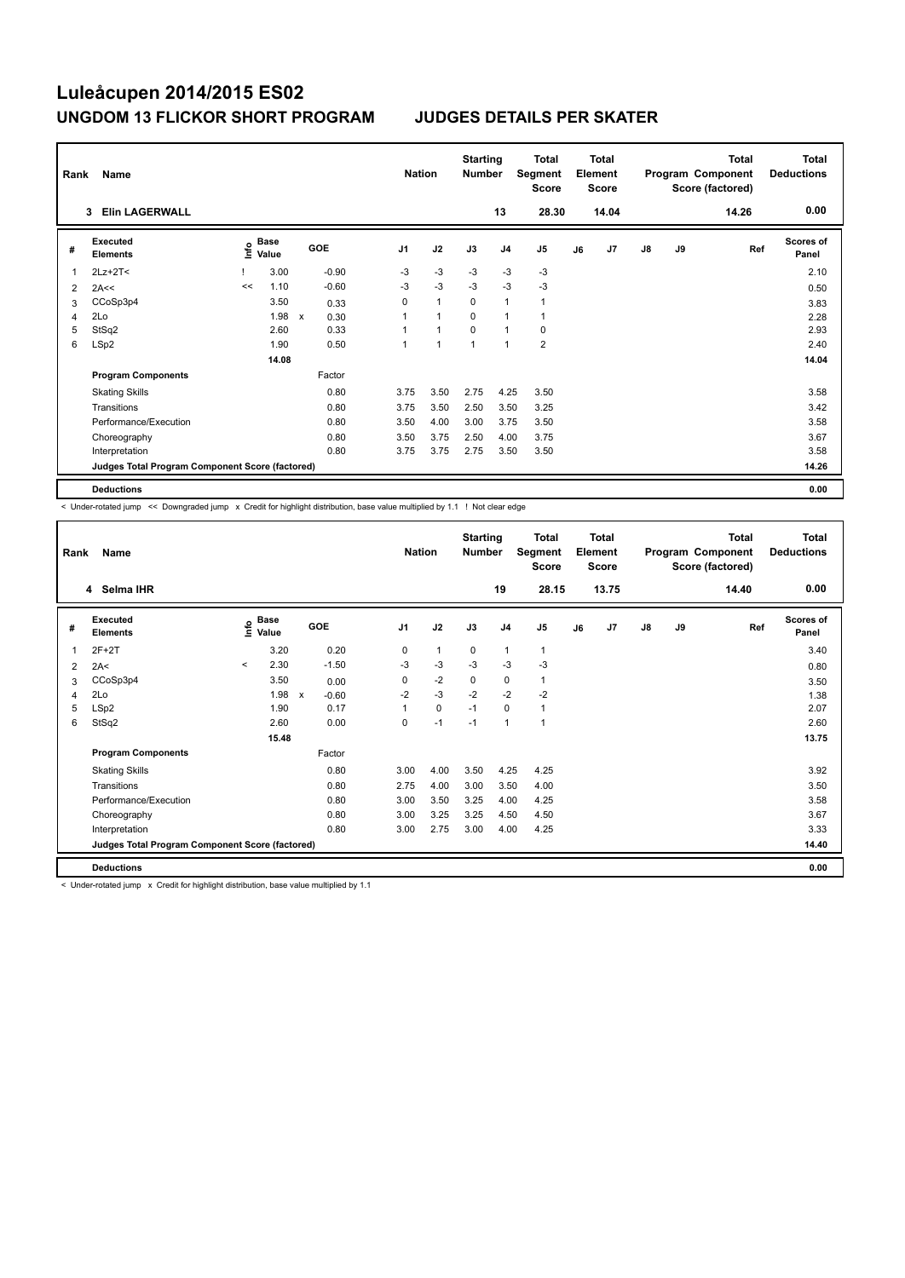| Rank | Name                                            |      |                      |              |         |                | <b>Nation</b> | <b>Starting</b><br><b>Number</b> |                | <b>Total</b><br><b>Segment</b><br><b>Score</b> |    | <b>Total</b><br>Element<br><b>Score</b> |               |    | <b>Total</b><br>Program Component<br>Score (factored) | <b>Total</b><br><b>Deductions</b> |
|------|-------------------------------------------------|------|----------------------|--------------|---------|----------------|---------------|----------------------------------|----------------|------------------------------------------------|----|-----------------------------------------|---------------|----|-------------------------------------------------------|-----------------------------------|
|      | <b>Elin LAGERWALL</b><br>3                      |      |                      |              |         |                |               |                                  | 13             | 28.30                                          |    | 14.04                                   |               |    | 14.26                                                 | 0.00                              |
| #    | Executed<br><b>Elements</b>                     | ١nfo | <b>Base</b><br>Value | <b>GOE</b>   |         | J <sub>1</sub> | J2            | J3                               | J <sub>4</sub> | J <sub>5</sub>                                 | J6 | J7                                      | $\mathsf{J}8$ | J9 | Ref                                                   | Scores of<br>Panel                |
|      | $2Lz+2T<$                                       |      | 3.00                 |              | $-0.90$ | $-3$           | $-3$          | $-3$                             | $-3$           | $-3$                                           |    |                                         |               |    |                                                       | 2.10                              |
| 2    | 2A<<                                            | <<   | 1.10                 |              | $-0.60$ | $-3$           | $-3$          | $-3$                             | $-3$           | $-3$                                           |    |                                         |               |    |                                                       | 0.50                              |
| 3    | CCoSp3p4                                        |      | 3.50                 |              | 0.33    | $\Omega$       | $\mathbf{1}$  | $\Omega$                         | 1              | 1                                              |    |                                         |               |    |                                                       | 3.83                              |
| Δ    | 2Lo                                             |      | 1.98                 | $\mathsf{x}$ | 0.30    |                | $\mathbf{1}$  | $\Omega$                         |                | 1                                              |    |                                         |               |    |                                                       | 2.28                              |
| 5    | StSq2                                           |      | 2.60                 |              | 0.33    |                | $\mathbf{1}$  | $\Omega$                         | 1              | 0                                              |    |                                         |               |    |                                                       | 2.93                              |
| 6    | LSp2                                            |      | 1.90                 |              | 0.50    | 1              | $\mathbf{1}$  | $\overline{1}$                   | -1             | $\overline{\mathbf{c}}$                        |    |                                         |               |    |                                                       | 2.40                              |
|      |                                                 |      | 14.08                |              |         |                |               |                                  |                |                                                |    |                                         |               |    |                                                       | 14.04                             |
|      | <b>Program Components</b>                       |      |                      |              | Factor  |                |               |                                  |                |                                                |    |                                         |               |    |                                                       |                                   |
|      | <b>Skating Skills</b>                           |      |                      |              | 0.80    | 3.75           | 3.50          | 2.75                             | 4.25           | 3.50                                           |    |                                         |               |    |                                                       | 3.58                              |
|      | Transitions                                     |      |                      |              | 0.80    | 3.75           | 3.50          | 2.50                             | 3.50           | 3.25                                           |    |                                         |               |    |                                                       | 3.42                              |
|      | Performance/Execution                           |      |                      |              | 0.80    | 3.50           | 4.00          | 3.00                             | 3.75           | 3.50                                           |    |                                         |               |    |                                                       | 3.58                              |
|      | Choreography                                    |      |                      |              | 0.80    | 3.50           | 3.75          | 2.50                             | 4.00           | 3.75                                           |    |                                         |               |    |                                                       | 3.67                              |
|      | Interpretation                                  |      |                      |              | 0.80    | 3.75           | 3.75          | 2.75                             | 3.50           | 3.50                                           |    |                                         |               |    |                                                       | 3.58                              |
|      | Judges Total Program Component Score (factored) |      |                      |              |         |                |               |                                  |                |                                                |    |                                         |               |    |                                                       | 14.26                             |
|      | <b>Deductions</b>                               |      |                      |              |         |                |               |                                  |                |                                                |    |                                         |               |    |                                                       | 0.00                              |

< Under-rotated jump << Downgraded jump x Credit for highlight distribution, base value multiplied by 1.1 ! Not clear edge

| Rank | Name                                            |         |                      |                         |                | <b>Nation</b> | <b>Starting</b><br><b>Number</b> |                | <b>Total</b><br>Segment<br><b>Score</b> |    | <b>Total</b><br>Element<br><b>Score</b> |               |           | <b>Total</b><br>Program Component<br>Score (factored) | <b>Total</b><br><b>Deductions</b> |
|------|-------------------------------------------------|---------|----------------------|-------------------------|----------------|---------------|----------------------------------|----------------|-----------------------------------------|----|-----------------------------------------|---------------|-----------|-------------------------------------------------------|-----------------------------------|
|      | 4 Selma IHR                                     |         |                      |                         |                |               |                                  | 19             | 28.15                                   |    | 13.75                                   |               |           | 14.40                                                 | 0.00                              |
| #    | Executed<br><b>Elements</b>                     | ١nfo    | <b>Base</b><br>Value | <b>GOE</b>              | J <sub>1</sub> | J2            | J3                               | J <sub>4</sub> | J <sub>5</sub>                          | J6 | J7                                      | $\mathsf{J}8$ | <b>J9</b> | Ref                                                   | <b>Scores of</b><br>Panel         |
|      | $2F+2T$                                         |         | 3.20                 | 0.20                    | 0              | $\mathbf{1}$  | $\mathbf 0$                      | $\mathbf{1}$   | 1                                       |    |                                         |               |           |                                                       | 3.40                              |
| 2    | 2A<                                             | $\prec$ | 2.30                 | $-1.50$                 | $-3$           | $-3$          | $-3$                             | $-3$           | $-3$                                    |    |                                         |               |           |                                                       | 0.80                              |
| 3    | CCoSp3p4                                        |         | 3.50                 | 0.00                    | 0              | $-2$          | 0                                | 0              |                                         |    |                                         |               |           |                                                       | 3.50                              |
| 4    | 2Lo                                             |         | 1.98                 | $\mathsf{x}$<br>$-0.60$ | $-2$           | $-3$          | $-2$                             | $-2$           | $-2$                                    |    |                                         |               |           |                                                       | 1.38                              |
| 5    | LSp2                                            |         | 1.90                 | 0.17                    |                | $\pmb{0}$     | $-1$                             | $\mathbf 0$    | $\mathbf{1}$                            |    |                                         |               |           |                                                       | 2.07                              |
| 6    | StSq2                                           |         | 2.60                 | 0.00                    | 0              | $-1$          | $-1$                             | $\mathbf{1}$   | 1                                       |    |                                         |               |           |                                                       | 2.60                              |
|      |                                                 |         | 15.48                |                         |                |               |                                  |                |                                         |    |                                         |               |           |                                                       | 13.75                             |
|      | <b>Program Components</b>                       |         |                      | Factor                  |                |               |                                  |                |                                         |    |                                         |               |           |                                                       |                                   |
|      | <b>Skating Skills</b>                           |         |                      | 0.80                    | 3.00           | 4.00          | 3.50                             | 4.25           | 4.25                                    |    |                                         |               |           |                                                       | 3.92                              |
|      | Transitions                                     |         |                      | 0.80                    | 2.75           | 4.00          | 3.00                             | 3.50           | 4.00                                    |    |                                         |               |           |                                                       | 3.50                              |
|      | Performance/Execution                           |         |                      | 0.80                    | 3.00           | 3.50          | 3.25                             | 4.00           | 4.25                                    |    |                                         |               |           |                                                       | 3.58                              |
|      | Choreography                                    |         |                      | 0.80                    | 3.00           | 3.25          | 3.25                             | 4.50           | 4.50                                    |    |                                         |               |           |                                                       | 3.67                              |
|      | Interpretation                                  |         |                      | 0.80                    | 3.00           | 2.75          | 3.00                             | 4.00           | 4.25                                    |    |                                         |               |           |                                                       | 3.33                              |
|      | Judges Total Program Component Score (factored) |         |                      |                         |                |               |                                  |                |                                         |    |                                         |               |           |                                                       | 14.40                             |
|      | <b>Deductions</b>                               |         |                      |                         |                |               |                                  |                |                                         |    |                                         |               |           |                                                       | 0.00                              |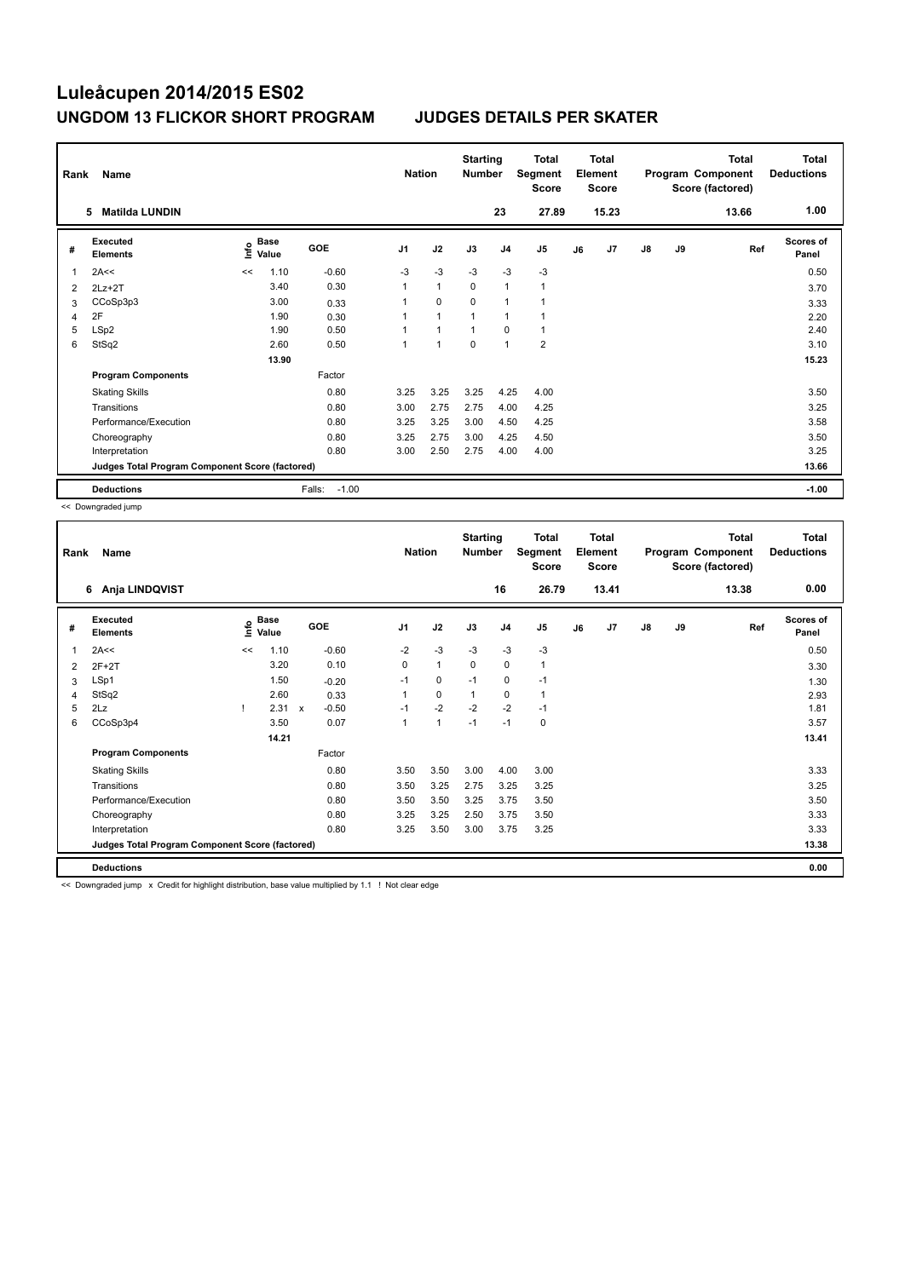| Rank | Name<br><b>Matilda LUNDIN</b><br>5              |      |               |                   | <b>Nation</b>  |                | <b>Starting</b><br><b>Number</b> | 23             | <b>Total</b><br>Segment<br><b>Score</b><br>27.89 |    | <b>Total</b><br>Element<br><b>Score</b><br>15.23 |    |           | <b>Total</b><br>Program Component<br>Score (factored)<br>13.66 | <b>Total</b><br><b>Deductions</b><br>1.00 |
|------|-------------------------------------------------|------|---------------|-------------------|----------------|----------------|----------------------------------|----------------|--------------------------------------------------|----|--------------------------------------------------|----|-----------|----------------------------------------------------------------|-------------------------------------------|
|      |                                                 |      |               |                   |                |                |                                  |                |                                                  |    |                                                  |    |           |                                                                |                                           |
| #    | Executed<br><b>Elements</b>                     | lnfo | Base<br>Value | <b>GOE</b>        | J <sub>1</sub> | J2             | J3                               | J <sub>4</sub> | J5                                               | J6 | J7                                               | J8 | <b>J9</b> | Ref                                                            | <b>Scores of</b><br>Panel                 |
| 1    | 2A<<                                            | <<   | 1.10          | $-0.60$           | $-3$           | $-3$           | $-3$                             | $-3$           | $-3$                                             |    |                                                  |    |           |                                                                | 0.50                                      |
| 2    | $2Lz+2T$                                        |      | 3.40          | 0.30              | 1              | $\mathbf{1}$   | $\mathbf 0$                      | $\overline{1}$ | $\mathbf{1}$                                     |    |                                                  |    |           |                                                                | 3.70                                      |
| 3    | CCoSp3p3                                        |      | 3.00          | 0.33              | 1              | $\Omega$       | $\Omega$                         | 1              |                                                  |    |                                                  |    |           |                                                                | 3.33                                      |
| 4    | 2F                                              |      | 1.90          | 0.30              | 1              | $\overline{1}$ | $\overline{1}$                   | 1              |                                                  |    |                                                  |    |           |                                                                | 2.20                                      |
| 5    | LSp2                                            |      | 1.90          | 0.50              | 1              | 1              | 1                                | $\mathbf 0$    | $\mathbf{1}$                                     |    |                                                  |    |           |                                                                | 2.40                                      |
| 6    | StSq2                                           |      | 2.60          | 0.50              | 1              | 1              | $\mathbf 0$                      | $\overline{1}$ | $\overline{2}$                                   |    |                                                  |    |           |                                                                | 3.10                                      |
|      |                                                 |      | 13.90         |                   |                |                |                                  |                |                                                  |    |                                                  |    |           |                                                                | 15.23                                     |
|      | <b>Program Components</b>                       |      |               | Factor            |                |                |                                  |                |                                                  |    |                                                  |    |           |                                                                |                                           |
|      | <b>Skating Skills</b>                           |      |               | 0.80              | 3.25           | 3.25           | 3.25                             | 4.25           | 4.00                                             |    |                                                  |    |           |                                                                | 3.50                                      |
|      | Transitions                                     |      |               | 0.80              | 3.00           | 2.75           | 2.75                             | 4.00           | 4.25                                             |    |                                                  |    |           |                                                                | 3.25                                      |
|      | Performance/Execution                           |      |               | 0.80              | 3.25           | 3.25           | 3.00                             | 4.50           | 4.25                                             |    |                                                  |    |           |                                                                | 3.58                                      |
|      | Choreography                                    |      |               | 0.80              | 3.25           | 2.75           | 3.00                             | 4.25           | 4.50                                             |    |                                                  |    |           |                                                                | 3.50                                      |
|      | Interpretation                                  |      |               | 0.80              | 3.00           | 2.50           | 2.75                             | 4.00           | 4.00                                             |    |                                                  |    |           |                                                                | 3.25                                      |
|      | Judges Total Program Component Score (factored) |      |               |                   |                |                |                                  |                |                                                  |    |                                                  |    |           |                                                                | 13.66                                     |
|      | <b>Deductions</b>                               |      |               | $-1.00$<br>Falls: |                |                |                                  |                |                                                  |    |                                                  |    |           |                                                                | $-1.00$                                   |

<< Downgraded jump

| Rank | Name                                            |      |                      |                         |                | <b>Nation</b> | <b>Starting</b><br><b>Number</b> |                | <b>Total</b><br>Segment<br>Score |    | <b>Total</b><br>Element<br><b>Score</b> |    |    | <b>Total</b><br>Program Component<br>Score (factored) | <b>Total</b><br><b>Deductions</b> |
|------|-------------------------------------------------|------|----------------------|-------------------------|----------------|---------------|----------------------------------|----------------|----------------------------------|----|-----------------------------------------|----|----|-------------------------------------------------------|-----------------------------------|
|      | 6 Anja LINDQVIST                                |      |                      |                         |                |               |                                  | 16             | 26.79                            |    | 13.41                                   |    |    | 13.38                                                 | 0.00                              |
| #    | Executed<br><b>Elements</b>                     | ١nfo | <b>Base</b><br>Value | <b>GOE</b>              | J <sub>1</sub> | J2            | J3                               | J <sub>4</sub> | J5                               | J6 | J7                                      | J8 | J9 | Ref                                                   | Scores of<br>Panel                |
| 1    | 2A<<                                            | <<   | 1.10                 | $-0.60$                 | $-2$           | $-3$          | $-3$                             | $-3$           | $-3$                             |    |                                         |    |    |                                                       | 0.50                              |
| 2    | $2F+2T$                                         |      | 3.20                 | 0.10                    | 0              | $\mathbf{1}$  | 0                                | 0              | 1                                |    |                                         |    |    |                                                       | 3.30                              |
| 3    | LSp1                                            |      | 1.50                 | $-0.20$                 | $-1$           | 0             | $-1$                             | 0              | $-1$                             |    |                                         |    |    |                                                       | 1.30                              |
| 4    | StSq2                                           |      | 2.60                 | 0.33                    |                | $\mathbf 0$   | $\mathbf{1}$                     | $\mathbf 0$    | 1                                |    |                                         |    |    |                                                       | 2.93                              |
| 5    | 2Lz                                             |      | 2.31                 | $-0.50$<br>$\mathsf{x}$ | $-1$           | $-2$          | $-2$                             | $-2$           | $-1$                             |    |                                         |    |    |                                                       | 1.81                              |
| 6    | CCoSp3p4                                        |      | 3.50                 | 0.07                    | 1              | $\mathbf{1}$  | $-1$                             | $-1$           | 0                                |    |                                         |    |    |                                                       | 3.57                              |
|      |                                                 |      | 14.21                |                         |                |               |                                  |                |                                  |    |                                         |    |    |                                                       | 13.41                             |
|      | <b>Program Components</b>                       |      |                      | Factor                  |                |               |                                  |                |                                  |    |                                         |    |    |                                                       |                                   |
|      | <b>Skating Skills</b>                           |      |                      | 0.80                    | 3.50           | 3.50          | 3.00                             | 4.00           | 3.00                             |    |                                         |    |    |                                                       | 3.33                              |
|      | Transitions                                     |      |                      | 0.80                    | 3.50           | 3.25          | 2.75                             | 3.25           | 3.25                             |    |                                         |    |    |                                                       | 3.25                              |
|      | Performance/Execution                           |      |                      | 0.80                    | 3.50           | 3.50          | 3.25                             | 3.75           | 3.50                             |    |                                         |    |    |                                                       | 3.50                              |
|      | Choreography                                    |      |                      | 0.80                    | 3.25           | 3.25          | 2.50                             | 3.75           | 3.50                             |    |                                         |    |    |                                                       | 3.33                              |
|      | Interpretation                                  |      |                      | 0.80                    | 3.25           | 3.50          | 3.00                             | 3.75           | 3.25                             |    |                                         |    |    |                                                       | 3.33                              |
|      | Judges Total Program Component Score (factored) |      |                      |                         |                |               |                                  |                |                                  |    |                                         |    |    |                                                       | 13.38                             |
|      | <b>Deductions</b>                               |      |                      |                         |                |               |                                  |                |                                  |    |                                         |    |    |                                                       | 0.00                              |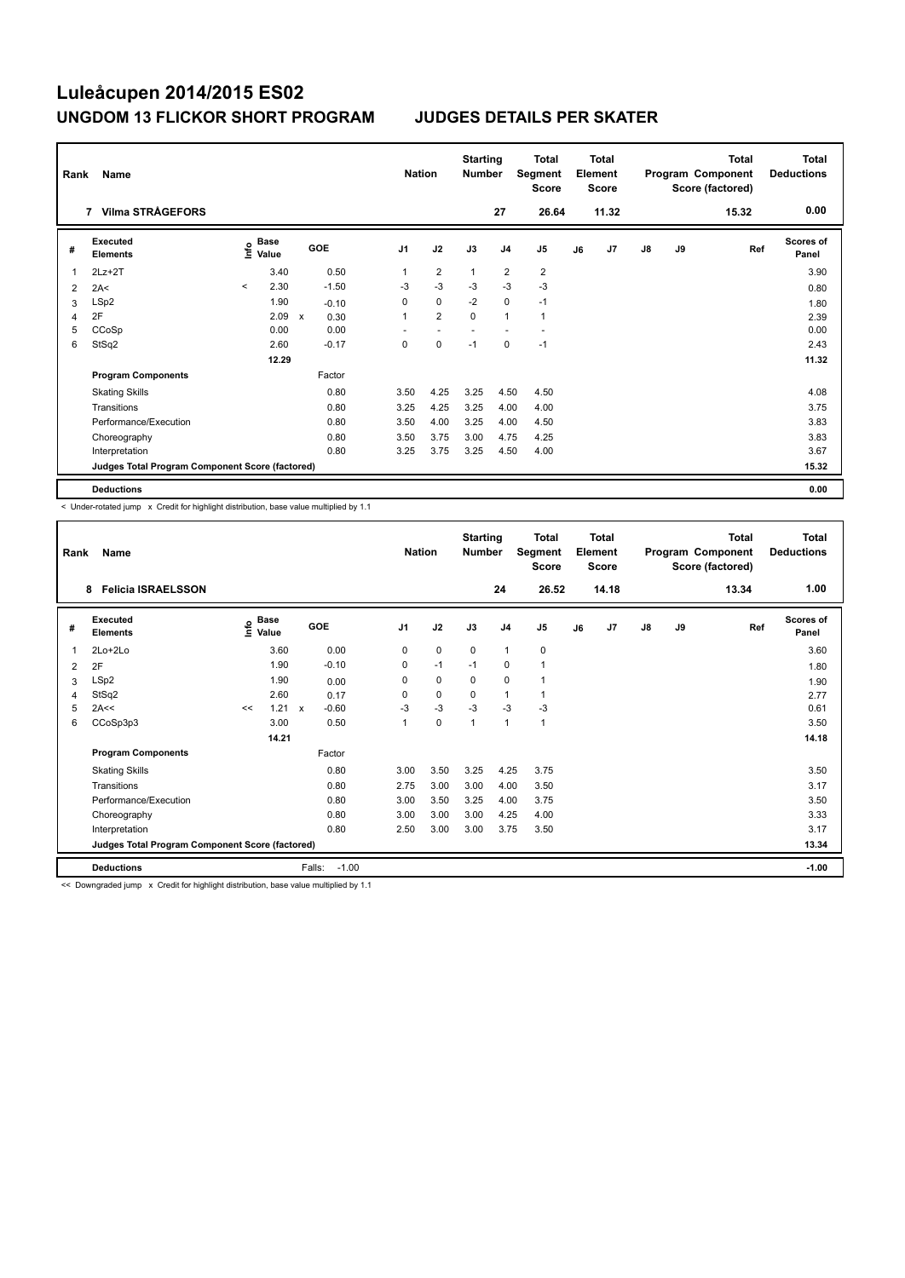| Rank | Name                                            |         |               |             |         | <b>Nation</b>  |                | <b>Starting</b><br><b>Number</b> |                | Total<br>Segment<br><b>Score</b> |    | <b>Total</b><br>Element<br><b>Score</b> |               |    | <b>Total</b><br>Program Component<br>Score (factored) | <b>Total</b><br><b>Deductions</b> |
|------|-------------------------------------------------|---------|---------------|-------------|---------|----------------|----------------|----------------------------------|----------------|----------------------------------|----|-----------------------------------------|---------------|----|-------------------------------------------------------|-----------------------------------|
|      | 7 Vilma STRÅGEFORS                              |         |               |             |         |                |                |                                  | 27             | 26.64                            |    | 11.32                                   |               |    | 15.32                                                 | 0.00                              |
| #    | Executed<br><b>Elements</b>                     | ١nf٥    | Base<br>Value |             | GOE     | J <sub>1</sub> | J2             | J3                               | J <sub>4</sub> | J <sub>5</sub>                   | J6 | J7                                      | $\mathsf{J}8$ | J9 | Ref                                                   | Scores of<br>Panel                |
| 1    | $2Lz+2T$                                        |         | 3.40          |             | 0.50    | 1              | $\overline{2}$ | $\overline{1}$                   | $\overline{2}$ | $\overline{\mathbf{c}}$          |    |                                         |               |    |                                                       | 3.90                              |
| 2    | 2A<                                             | $\prec$ | 2.30          |             | $-1.50$ | -3             | $-3$           | $-3$                             | $-3$           | $-3$                             |    |                                         |               |    |                                                       | 0.80                              |
| 3    | LSp2                                            |         | 1.90          |             | $-0.10$ | 0              | $\mathbf 0$    | $-2$                             | $\pmb{0}$      | $-1$                             |    |                                         |               |    |                                                       | 1.80                              |
| 4    | 2F                                              |         | 2.09          | $\mathbf x$ | 0.30    | 1              | $\overline{2}$ | $\Omega$                         | $\mathbf{1}$   | $\mathbf{1}$                     |    |                                         |               |    |                                                       | 2.39                              |
| 5    | CCoSp                                           |         | 0.00          |             | 0.00    |                |                |                                  |                |                                  |    |                                         |               |    |                                                       | 0.00                              |
| 6    | StSq2                                           |         | 2.60          |             | $-0.17$ | 0              | 0              | $-1$                             | 0              | $-1$                             |    |                                         |               |    |                                                       | 2.43                              |
|      |                                                 |         | 12.29         |             |         |                |                |                                  |                |                                  |    |                                         |               |    |                                                       | 11.32                             |
|      | <b>Program Components</b>                       |         |               |             | Factor  |                |                |                                  |                |                                  |    |                                         |               |    |                                                       |                                   |
|      | <b>Skating Skills</b>                           |         |               |             | 0.80    | 3.50           | 4.25           | 3.25                             | 4.50           | 4.50                             |    |                                         |               |    |                                                       | 4.08                              |
|      | Transitions                                     |         |               |             | 0.80    | 3.25           | 4.25           | 3.25                             | 4.00           | 4.00                             |    |                                         |               |    |                                                       | 3.75                              |
|      | Performance/Execution                           |         |               |             | 0.80    | 3.50           | 4.00           | 3.25                             | 4.00           | 4.50                             |    |                                         |               |    |                                                       | 3.83                              |
|      | Choreography                                    |         |               |             | 0.80    | 3.50           | 3.75           | 3.00                             | 4.75           | 4.25                             |    |                                         |               |    |                                                       | 3.83                              |
|      | Interpretation                                  |         |               |             | 0.80    | 3.25           | 3.75           | 3.25                             | 4.50           | 4.00                             |    |                                         |               |    |                                                       | 3.67                              |
|      | Judges Total Program Component Score (factored) |         |               |             |         |                |                |                                  |                |                                  |    |                                         |               |    |                                                       | 15.32                             |
|      | <b>Deductions</b>                               |         |               |             |         |                |                |                                  |                |                                  |    |                                         |               |    |                                                       | 0.00                              |

< Under-rotated jump x Credit for highlight distribution, base value multiplied by 1.1

| Rank | Name                                            |    |                                  |                         | <b>Nation</b>  |             | <b>Starting</b><br><b>Number</b> |                | <b>Total</b><br>Segment<br><b>Score</b> |    | Total<br>Element<br><b>Score</b> |               |    | <b>Total</b><br>Program Component<br>Score (factored) | <b>Total</b><br><b>Deductions</b> |
|------|-------------------------------------------------|----|----------------------------------|-------------------------|----------------|-------------|----------------------------------|----------------|-----------------------------------------|----|----------------------------------|---------------|----|-------------------------------------------------------|-----------------------------------|
|      | <b>Felicia ISRAELSSON</b><br>8                  |    |                                  |                         |                |             |                                  | 24             | 26.52                                   |    | 14.18                            |               |    | 13.34                                                 | 1.00                              |
| #    | <b>Executed</b><br><b>Elements</b>              |    | <b>Base</b><br>e Base<br>⊆ Value | GOE                     | J <sub>1</sub> | J2          | J3                               | J <sub>4</sub> | J <sub>5</sub>                          | J6 | J7                               | $\mathsf{J}8$ | J9 | Ref                                                   | <b>Scores of</b><br>Panel         |
| 1    | $2Lo+2Lo$                                       |    | 3.60                             | 0.00                    | 0              | $\mathbf 0$ | 0                                | $\mathbf{1}$   | 0                                       |    |                                  |               |    |                                                       | 3.60                              |
| 2    | 2F                                              |    | 1.90                             | $-0.10$                 | 0              | $-1$        | $-1$                             | 0              | 1                                       |    |                                  |               |    |                                                       | 1.80                              |
| 3    | LSp2                                            |    | 1.90                             | 0.00                    | 0              | $\mathbf 0$ | $\mathbf 0$                      | $\mathbf 0$    | 1                                       |    |                                  |               |    |                                                       | 1.90                              |
| 4    | StSq2                                           |    | 2.60                             | 0.17                    | 0              | 0           | 0                                | 1              | 1                                       |    |                                  |               |    |                                                       | 2.77                              |
| 5    | 2A<<                                            | << | 1.21                             | $-0.60$<br>$\mathbf{x}$ | $-3$           | $-3$        | $-3$                             | $-3$           | $-3$                                    |    |                                  |               |    |                                                       | 0.61                              |
| 6    | CCoSp3p3                                        |    | 3.00                             | 0.50                    | 1              | $\mathbf 0$ | $\mathbf{1}$                     | $\mathbf{1}$   | $\mathbf{1}$                            |    |                                  |               |    |                                                       | 3.50                              |
|      |                                                 |    | 14.21                            |                         |                |             |                                  |                |                                         |    |                                  |               |    |                                                       | 14.18                             |
|      | <b>Program Components</b>                       |    |                                  | Factor                  |                |             |                                  |                |                                         |    |                                  |               |    |                                                       |                                   |
|      | <b>Skating Skills</b>                           |    |                                  | 0.80                    | 3.00           | 3.50        | 3.25                             | 4.25           | 3.75                                    |    |                                  |               |    |                                                       | 3.50                              |
|      | Transitions                                     |    |                                  | 0.80                    | 2.75           | 3.00        | 3.00                             | 4.00           | 3.50                                    |    |                                  |               |    |                                                       | 3.17                              |
|      | Performance/Execution                           |    |                                  | 0.80                    | 3.00           | 3.50        | 3.25                             | 4.00           | 3.75                                    |    |                                  |               |    |                                                       | 3.50                              |
|      | Choreography                                    |    |                                  | 0.80                    | 3.00           | 3.00        | 3.00                             | 4.25           | 4.00                                    |    |                                  |               |    |                                                       | 3.33                              |
|      | Interpretation                                  |    |                                  | 0.80                    | 2.50           | 3.00        | 3.00                             | 3.75           | 3.50                                    |    |                                  |               |    |                                                       | 3.17                              |
|      | Judges Total Program Component Score (factored) |    |                                  |                         |                |             |                                  |                |                                         |    |                                  |               |    |                                                       | 13.34                             |
|      | <b>Deductions</b>                               |    |                                  | Falls:<br>$-1.00$       |                |             |                                  |                |                                         |    |                                  |               |    |                                                       | $-1.00$                           |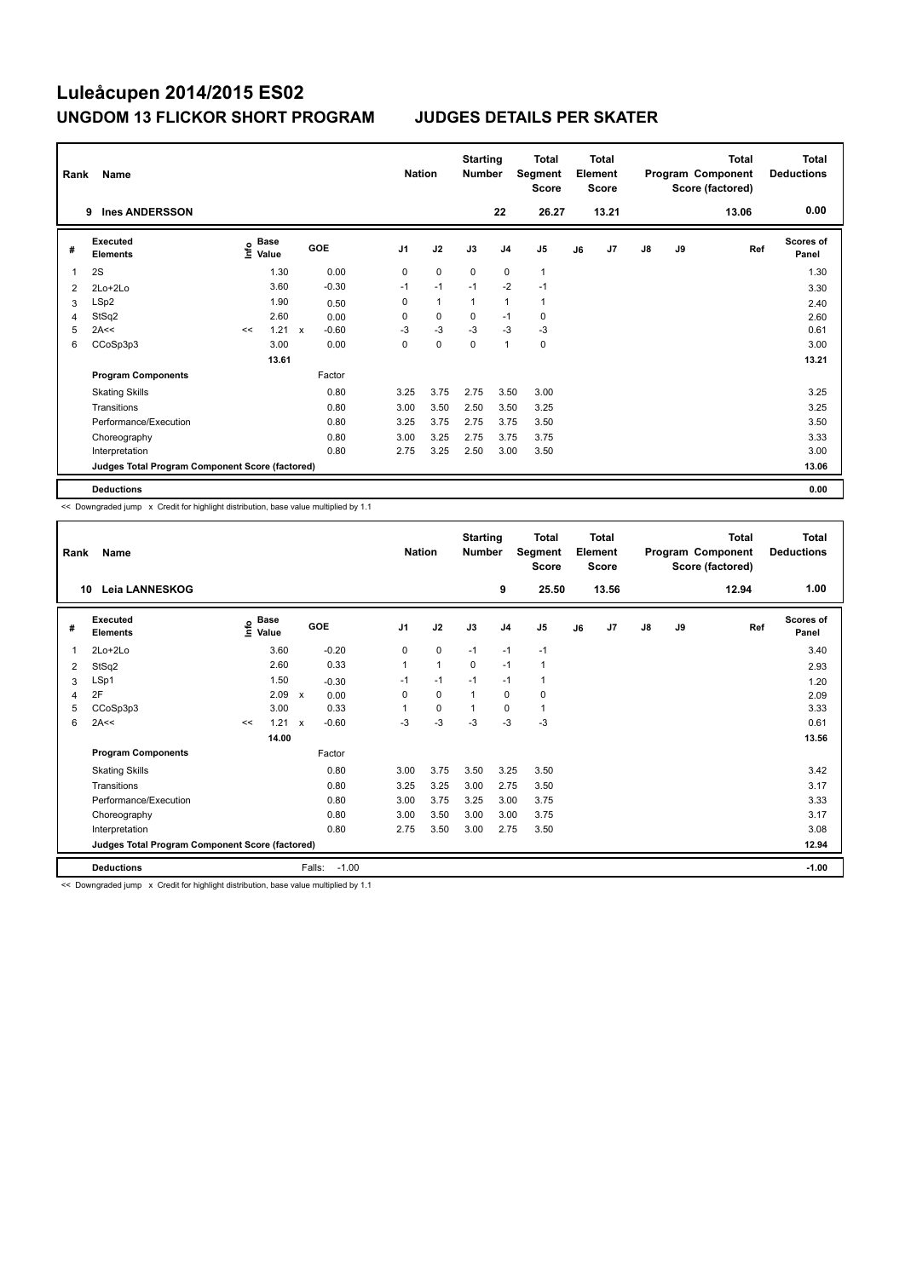| Rank | Name                                            |    |                                  |              |            | <b>Nation</b>  |              | <b>Starting</b><br><b>Number</b> |                | <b>Total</b><br>Segment<br><b>Score</b> |    | <b>Total</b><br>Element<br><b>Score</b> |               |    | <b>Total</b><br>Program Component<br>Score (factored) | <b>Total</b><br><b>Deductions</b> |
|------|-------------------------------------------------|----|----------------------------------|--------------|------------|----------------|--------------|----------------------------------|----------------|-----------------------------------------|----|-----------------------------------------|---------------|----|-------------------------------------------------------|-----------------------------------|
|      | <b>Ines ANDERSSON</b><br>9                      |    |                                  |              |            |                |              |                                  | 22             | 26.27                                   |    | 13.21                                   |               |    | 13.06                                                 | 0.00                              |
| #    | <b>Executed</b><br><b>Elements</b>              |    | <b>Base</b><br>e Base<br>⊆ Value |              | <b>GOE</b> | J <sub>1</sub> | J2           | J3                               | J <sub>4</sub> | J5                                      | J6 | J7                                      | $\mathsf{J}8$ | J9 | Ref                                                   | <b>Scores of</b><br>Panel         |
|      | 2S                                              |    | 1.30                             |              | 0.00       | 0              | $\mathbf 0$  | $\mathbf 0$                      | $\mathbf 0$    | $\mathbf{1}$                            |    |                                         |               |    |                                                       | 1.30                              |
| 2    | 2Lo+2Lo                                         |    | 3.60                             |              | $-0.30$    | $-1$           | $-1$         | $-1$                             | $-2$           | $-1$                                    |    |                                         |               |    |                                                       | 3.30                              |
| 3    | LSp2                                            |    | 1.90                             |              | 0.50       | 0              | $\mathbf{1}$ | $\overline{1}$                   | $\overline{1}$ | $\mathbf{1}$                            |    |                                         |               |    |                                                       | 2.40                              |
| 4    | StSq2                                           |    | 2.60                             |              | 0.00       | 0              | $\mathbf 0$  | 0                                | $-1$           | 0                                       |    |                                         |               |    |                                                       | 2.60                              |
| 5    | 2A<<                                            | << | 1.21                             | $\mathsf{x}$ | $-0.60$    | $-3$           | $-3$         | $-3$                             | $-3$           | $-3$                                    |    |                                         |               |    |                                                       | 0.61                              |
| 6    | CCoSp3p3                                        |    | 3.00                             |              | 0.00       | 0              | 0            | 0                                | $\overline{1}$ | 0                                       |    |                                         |               |    |                                                       | 3.00                              |
|      |                                                 |    | 13.61                            |              |            |                |              |                                  |                |                                         |    |                                         |               |    |                                                       | 13.21                             |
|      | <b>Program Components</b>                       |    |                                  |              | Factor     |                |              |                                  |                |                                         |    |                                         |               |    |                                                       |                                   |
|      | <b>Skating Skills</b>                           |    |                                  |              | 0.80       | 3.25           | 3.75         | 2.75                             | 3.50           | 3.00                                    |    |                                         |               |    |                                                       | 3.25                              |
|      | Transitions                                     |    |                                  |              | 0.80       | 3.00           | 3.50         | 2.50                             | 3.50           | 3.25                                    |    |                                         |               |    |                                                       | 3.25                              |
|      | Performance/Execution                           |    |                                  |              | 0.80       | 3.25           | 3.75         | 2.75                             | 3.75           | 3.50                                    |    |                                         |               |    |                                                       | 3.50                              |
|      | Choreography                                    |    |                                  |              | 0.80       | 3.00           | 3.25         | 2.75                             | 3.75           | 3.75                                    |    |                                         |               |    |                                                       | 3.33                              |
|      | Interpretation                                  |    |                                  |              | 0.80       | 2.75           | 3.25         | 2.50                             | 3.00           | 3.50                                    |    |                                         |               |    |                                                       | 3.00                              |
|      | Judges Total Program Component Score (factored) |    |                                  |              |            |                |              |                                  |                |                                         |    |                                         |               |    |                                                       | 13.06                             |
|      | <b>Deductions</b>                               |    |                                  |              |            |                |              |                                  |                |                                         |    |                                         |               |    |                                                       | 0.00                              |

<< Downgraded jump x Credit for highlight distribution, base value multiplied by 1.1

| Rank | Name                                            |    |                                  |                         |                | <b>Nation</b> | <b>Starting</b><br><b>Number</b> |                | <b>Total</b><br>Segment<br><b>Score</b> |    | <b>Total</b><br>Element<br><b>Score</b> |               |    | <b>Total</b><br>Program Component<br>Score (factored) | <b>Total</b><br><b>Deductions</b> |
|------|-------------------------------------------------|----|----------------------------------|-------------------------|----------------|---------------|----------------------------------|----------------|-----------------------------------------|----|-----------------------------------------|---------------|----|-------------------------------------------------------|-----------------------------------|
| 10   | Leia LANNESKOG                                  |    |                                  |                         |                |               |                                  | 9              | 25.50                                   |    | 13.56                                   |               |    | 12.94                                                 | 1.00                              |
| #    | Executed<br><b>Elements</b>                     |    | <b>Base</b><br>e Base<br>⊆ Value | GOE                     | J <sub>1</sub> | J2            | J3                               | J <sub>4</sub> | J <sub>5</sub>                          | J6 | J7                                      | $\mathsf{J}8$ | J9 | Ref                                                   | <b>Scores of</b><br>Panel         |
| 1    | $2Lo+2Lo$                                       |    | 3.60                             | $-0.20$                 | 0              | $\mathbf 0$   | $-1$                             | $-1$           | $-1$                                    |    |                                         |               |    |                                                       | 3.40                              |
| 2    | StSq2                                           |    | 2.60                             | 0.33                    | $\overline{1}$ | $\mathbf{1}$  | $\mathbf 0$                      | $-1$           | 1                                       |    |                                         |               |    |                                                       | 2.93                              |
| 3    | LSp1                                            |    | 1.50                             | $-0.30$                 | $-1$           | $-1$          | $-1$                             | $-1$           | 1                                       |    |                                         |               |    |                                                       | 1.20                              |
| 4    | 2F                                              |    | 2.09                             | 0.00<br>$\mathsf{x}$    | 0              | $\mathbf 0$   | 1                                | 0              | 0                                       |    |                                         |               |    |                                                       | 2.09                              |
| 5    | CCoSp3p3                                        |    | 3.00                             | 0.33                    |                | $\mathbf 0$   | $\mathbf 1$                      | 0              | 1                                       |    |                                         |               |    |                                                       | 3.33                              |
| 6    | 2A<<                                            | << | 1.21                             | $-0.60$<br>$\mathsf{x}$ | $-3$           | $-3$          | $-3$                             | $-3$           | $-3$                                    |    |                                         |               |    |                                                       | 0.61                              |
|      |                                                 |    | 14.00                            |                         |                |               |                                  |                |                                         |    |                                         |               |    |                                                       | 13.56                             |
|      | <b>Program Components</b>                       |    |                                  | Factor                  |                |               |                                  |                |                                         |    |                                         |               |    |                                                       |                                   |
|      | <b>Skating Skills</b>                           |    |                                  | 0.80                    | 3.00           | 3.75          | 3.50                             | 3.25           | 3.50                                    |    |                                         |               |    |                                                       | 3.42                              |
|      | Transitions                                     |    |                                  | 0.80                    | 3.25           | 3.25          | 3.00                             | 2.75           | 3.50                                    |    |                                         |               |    |                                                       | 3.17                              |
|      | Performance/Execution                           |    |                                  | 0.80                    | 3.00           | 3.75          | 3.25                             | 3.00           | 3.75                                    |    |                                         |               |    |                                                       | 3.33                              |
|      | Choreography                                    |    |                                  | 0.80                    | 3.00           | 3.50          | 3.00                             | 3.00           | 3.75                                    |    |                                         |               |    |                                                       | 3.17                              |
|      | Interpretation                                  |    |                                  | 0.80                    | 2.75           | 3.50          | 3.00                             | 2.75           | 3.50                                    |    |                                         |               |    |                                                       | 3.08                              |
|      | Judges Total Program Component Score (factored) |    |                                  |                         |                |               |                                  |                |                                         |    |                                         |               |    |                                                       | 12.94                             |
|      | <b>Deductions</b>                               |    |                                  | Falls:<br>$-1.00$       |                |               |                                  |                |                                         |    |                                         |               |    |                                                       | $-1.00$                           |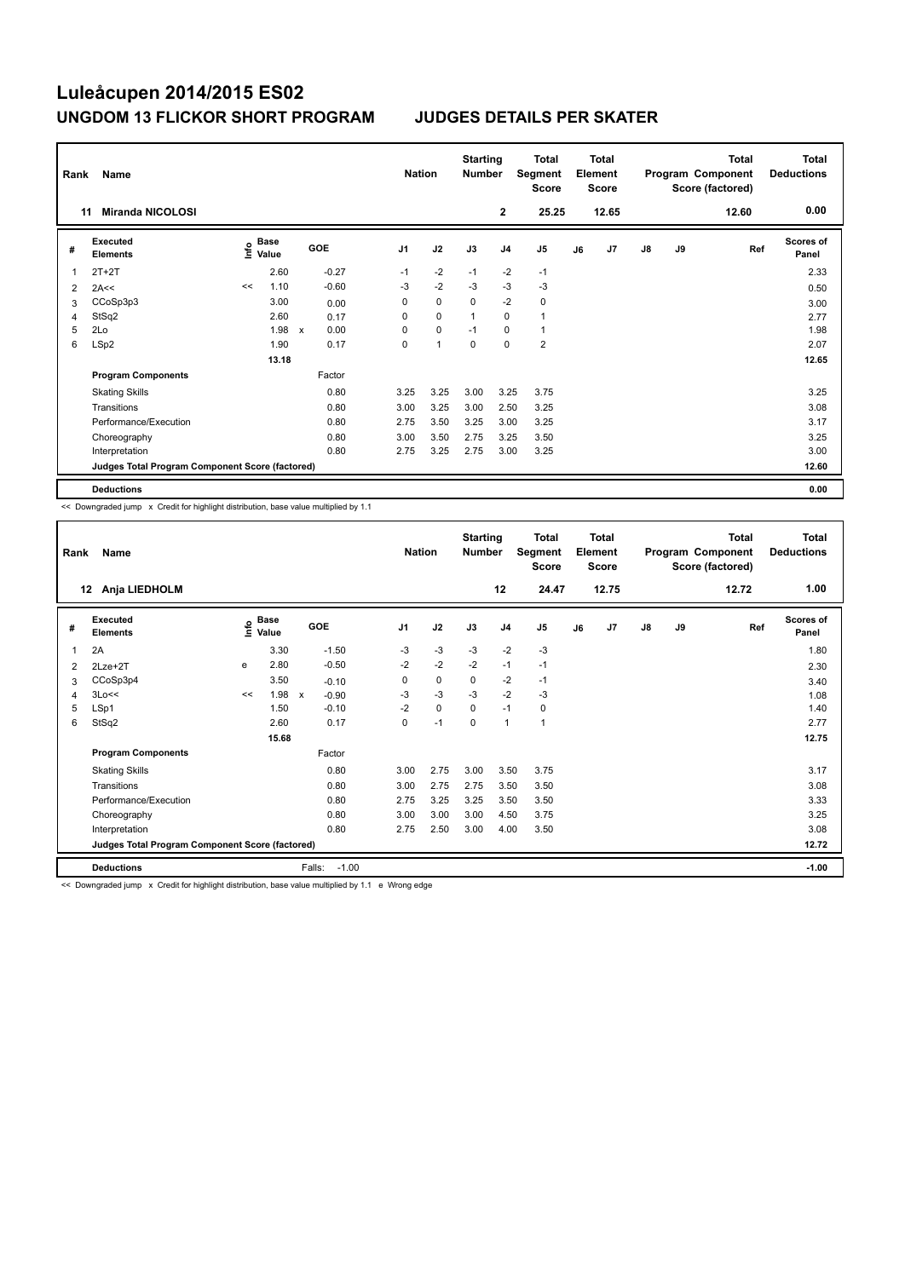| Rank | Name                                            |      |               |                           |         | <b>Nation</b>  |                | <b>Starting</b><br><b>Number</b> |                | Total<br>Segment<br><b>Score</b> |    | <b>Total</b><br>Element<br><b>Score</b> |               |    | <b>Total</b><br>Program Component<br>Score (factored) | Total<br><b>Deductions</b> |
|------|-------------------------------------------------|------|---------------|---------------------------|---------|----------------|----------------|----------------------------------|----------------|----------------------------------|----|-----------------------------------------|---------------|----|-------------------------------------------------------|----------------------------|
|      | <b>Miranda NICOLOSI</b><br>11                   |      |               |                           |         |                |                |                                  | $\mathbf{2}$   | 25.25                            |    | 12.65                                   |               |    | 12.60                                                 | 0.00                       |
| #    | Executed<br><b>Elements</b>                     | ١nf٥ | Base<br>Value |                           | GOE     | J <sub>1</sub> | J2             | J3                               | J <sub>4</sub> | J <sub>5</sub>                   | J6 | J7                                      | $\mathsf{J}8$ | J9 | Ref                                                   | Scores of<br>Panel         |
| 1    | $2T+2T$                                         |      | 2.60          |                           | $-0.27$ | $-1$           | $-2$           | $-1$                             | $-2$           | $-1$                             |    |                                         |               |    |                                                       | 2.33                       |
| 2    | 2A<<                                            | <<   | 1.10          |                           | $-0.60$ | -3             | $-2$           | -3                               | $-3$           | $-3$                             |    |                                         |               |    |                                                       | 0.50                       |
| 3    | CCoSp3p3                                        |      | 3.00          |                           | 0.00    | 0              | $\mathbf 0$    | 0                                | $-2$           | 0                                |    |                                         |               |    |                                                       | 3.00                       |
| 4    | StSq2                                           |      | 2.60          |                           | 0.17    | 0              | $\mathbf 0$    | $\overline{1}$                   | $\Omega$       | $\mathbf{1}$                     |    |                                         |               |    |                                                       | 2.77                       |
| 5    | 2Lo                                             |      | 1.98          | $\boldsymbol{\mathsf{x}}$ | 0.00    | 0              | $\mathbf 0$    | $-1$                             | 0              | $\mathbf{1}$                     |    |                                         |               |    |                                                       | 1.98                       |
| 6    | LSp2                                            |      | 1.90          |                           | 0.17    | 0              | $\overline{1}$ | $\mathbf 0$                      | $\mathbf 0$    | $\overline{2}$                   |    |                                         |               |    |                                                       | 2.07                       |
|      |                                                 |      | 13.18         |                           |         |                |                |                                  |                |                                  |    |                                         |               |    |                                                       | 12.65                      |
|      | <b>Program Components</b>                       |      |               |                           | Factor  |                |                |                                  |                |                                  |    |                                         |               |    |                                                       |                            |
|      | <b>Skating Skills</b>                           |      |               |                           | 0.80    | 3.25           | 3.25           | 3.00                             | 3.25           | 3.75                             |    |                                         |               |    |                                                       | 3.25                       |
|      | Transitions                                     |      |               |                           | 0.80    | 3.00           | 3.25           | 3.00                             | 2.50           | 3.25                             |    |                                         |               |    |                                                       | 3.08                       |
|      | Performance/Execution                           |      |               |                           | 0.80    | 2.75           | 3.50           | 3.25                             | 3.00           | 3.25                             |    |                                         |               |    |                                                       | 3.17                       |
|      | Choreography                                    |      |               |                           | 0.80    | 3.00           | 3.50           | 2.75                             | 3.25           | 3.50                             |    |                                         |               |    |                                                       | 3.25                       |
|      | Interpretation                                  |      |               |                           | 0.80    | 2.75           | 3.25           | 2.75                             | 3.00           | 3.25                             |    |                                         |               |    |                                                       | 3.00                       |
|      | Judges Total Program Component Score (factored) |      |               |                           |         |                |                |                                  |                |                                  |    |                                         |               |    |                                                       | 12.60                      |
|      | <b>Deductions</b>                               |      |               |                           |         |                |                |                                  |                |                                  |    |                                         |               |    |                                                       | 0.00                       |

<< Downgraded jump x Credit for highlight distribution, base value multiplied by 1.1

| Rank | Name                                            |      |                      |                         | <b>Nation</b>  |      | <b>Starting</b><br><b>Number</b> |                | <b>Total</b><br>Segment<br><b>Score</b> |    | <b>Total</b><br>Element<br><b>Score</b> |    |    | <b>Total</b><br>Program Component<br>Score (factored) | Total<br><b>Deductions</b> |
|------|-------------------------------------------------|------|----------------------|-------------------------|----------------|------|----------------------------------|----------------|-----------------------------------------|----|-----------------------------------------|----|----|-------------------------------------------------------|----------------------------|
| 12   | Anja LIEDHOLM                                   |      |                      |                         |                |      |                                  | 12             | 24.47                                   |    | 12.75                                   |    |    | 12.72                                                 | 1.00                       |
| #    | Executed<br><b>Elements</b>                     | ١nfo | <b>Base</b><br>Value | <b>GOE</b>              | J <sub>1</sub> | J2   | J3                               | J <sub>4</sub> | J <sub>5</sub>                          | J6 | J7                                      | J8 | J9 | Ref                                                   | <b>Scores of</b><br>Panel  |
| 1    | 2A                                              |      | 3.30                 | $-1.50$                 | $-3$           | $-3$ | $-3$                             | $-2$           | $-3$                                    |    |                                         |    |    |                                                       | 1.80                       |
| 2    | $2Lze+2T$                                       | e    | 2.80                 | $-0.50$                 | $-2$           | $-2$ | $-2$                             | $-1$           | $-1$                                    |    |                                         |    |    |                                                       | 2.30                       |
| 3    | CCoSp3p4                                        |      | 3.50                 | $-0.10$                 | 0              | 0    | 0                                | $-2$           | $-1$                                    |    |                                         |    |    |                                                       | 3.40                       |
| 4    | 3Lo<<                                           | <<   | 1.98                 | $-0.90$<br>$\mathsf{x}$ | $-3$           | $-3$ | $-3$                             | $-2$           | $-3$                                    |    |                                         |    |    |                                                       | 1.08                       |
| 5    | LSp1                                            |      | 1.50                 | $-0.10$                 | $-2$           | 0    | $\Omega$                         | $-1$           | 0                                       |    |                                         |    |    |                                                       | 1.40                       |
| 6    | StSq2                                           |      | 2.60                 | 0.17                    | 0              | $-1$ | $\mathbf 0$                      | $\mathbf{1}$   | 1                                       |    |                                         |    |    |                                                       | 2.77                       |
|      |                                                 |      | 15.68                |                         |                |      |                                  |                |                                         |    |                                         |    |    |                                                       | 12.75                      |
|      | <b>Program Components</b>                       |      |                      | Factor                  |                |      |                                  |                |                                         |    |                                         |    |    |                                                       |                            |
|      | <b>Skating Skills</b>                           |      |                      | 0.80                    | 3.00           | 2.75 | 3.00                             | 3.50           | 3.75                                    |    |                                         |    |    |                                                       | 3.17                       |
|      | Transitions                                     |      |                      | 0.80                    | 3.00           | 2.75 | 2.75                             | 3.50           | 3.50                                    |    |                                         |    |    |                                                       | 3.08                       |
|      | Performance/Execution                           |      |                      | 0.80                    | 2.75           | 3.25 | 3.25                             | 3.50           | 3.50                                    |    |                                         |    |    |                                                       | 3.33                       |
|      | Choreography                                    |      |                      | 0.80                    | 3.00           | 3.00 | 3.00                             | 4.50           | 3.75                                    |    |                                         |    |    |                                                       | 3.25                       |
|      | Interpretation                                  |      |                      | 0.80                    | 2.75           | 2.50 | 3.00                             | 4.00           | 3.50                                    |    |                                         |    |    |                                                       | 3.08                       |
|      | Judges Total Program Component Score (factored) |      |                      |                         |                |      |                                  |                |                                         |    |                                         |    |    |                                                       | 12.72                      |
|      | <b>Deductions</b>                               |      |                      | Falls:<br>$-1.00$       |                |      |                                  |                |                                         |    |                                         |    |    |                                                       | $-1.00$                    |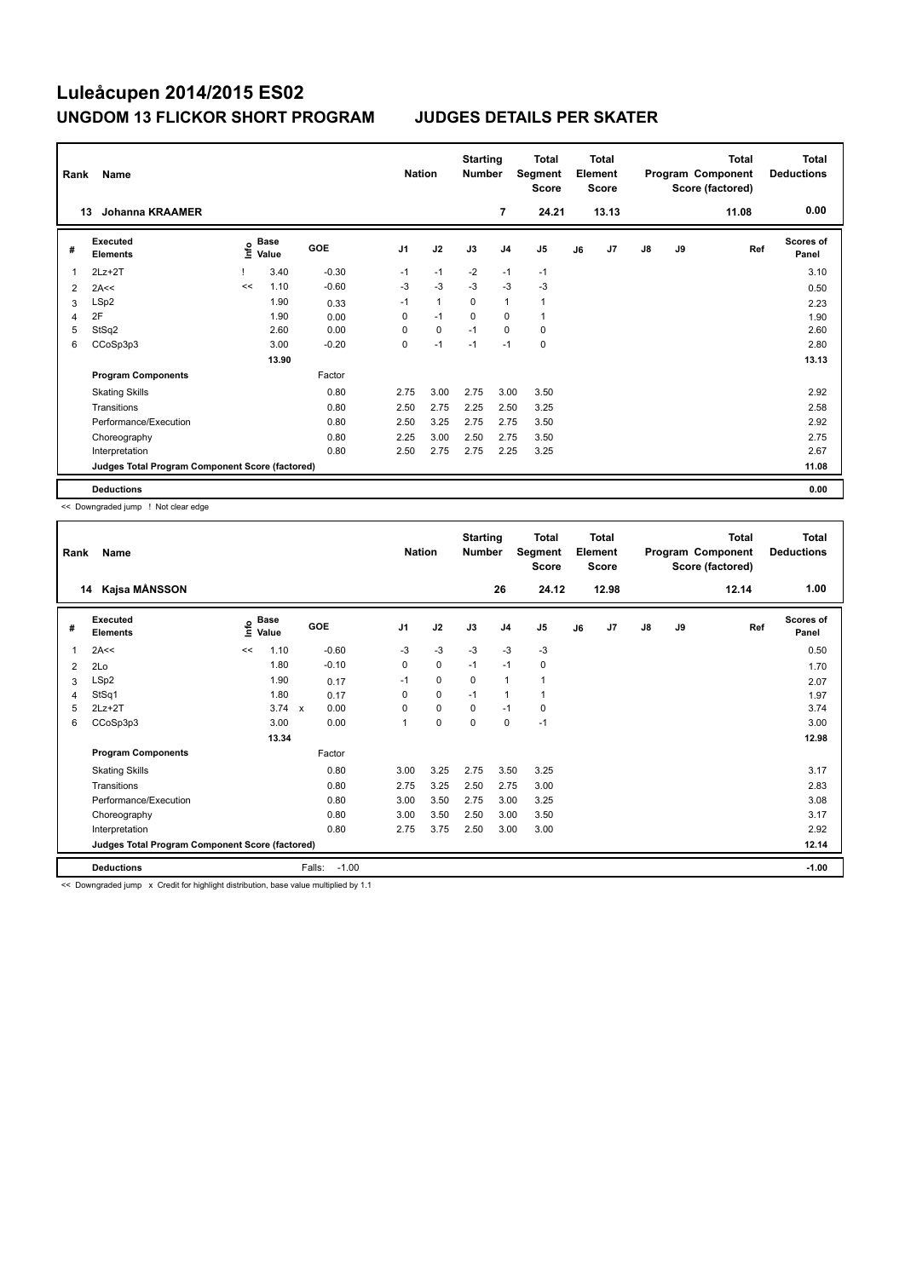| Rank | Name                                            |      |                      |            | <b>Nation</b>  |              | <b>Starting</b><br><b>Number</b> |                | Total<br>Segment<br><b>Score</b> |    | Total<br>Element<br><b>Score</b> |               |    | Total<br>Program Component<br>Score (factored) | Total<br><b>Deductions</b> |
|------|-------------------------------------------------|------|----------------------|------------|----------------|--------------|----------------------------------|----------------|----------------------------------|----|----------------------------------|---------------|----|------------------------------------------------|----------------------------|
|      | <b>Johanna KRAAMER</b><br>13                    |      |                      |            |                |              |                                  | 7              | 24.21                            |    | 13.13                            |               |    | 11.08                                          | 0.00                       |
| #    | Executed<br><b>Elements</b>                     | ١nf٥ | <b>Base</b><br>Value | <b>GOE</b> | J <sub>1</sub> | J2           | J3                               | J <sub>4</sub> | J <sub>5</sub>                   | J6 | J7                               | $\mathsf{J}8$ | J9 | Ref                                            | <b>Scores of</b><br>Panel  |
| 1    | $2Lz+2T$                                        |      | 3.40                 | $-0.30$    | $-1$           | $-1$         | $-2$                             | $-1$           | $-1$                             |    |                                  |               |    |                                                | 3.10                       |
| 2    | 2A<<                                            | <<   | 1.10                 | $-0.60$    | $-3$           | $-3$         | $-3$                             | $-3$           | $-3$                             |    |                                  |               |    |                                                | 0.50                       |
| 3    | LSp2                                            |      | 1.90                 | 0.33       | $-1$           | $\mathbf{1}$ | $\mathbf 0$                      | $\mathbf{1}$   | $\mathbf{1}$                     |    |                                  |               |    |                                                | 2.23                       |
| 4    | 2F                                              |      | 1.90                 | 0.00       | 0              | $-1$         | 0                                | 0              | 1                                |    |                                  |               |    |                                                | 1.90                       |
| 5    | StSq2                                           |      | 2.60                 | 0.00       | 0              | $\pmb{0}$    | $-1$                             | $\mathbf 0$    | 0                                |    |                                  |               |    |                                                | 2.60                       |
| 6    | CCoSp3p3                                        |      | 3.00                 | $-0.20$    | 0              | $-1$         | $-1$                             | $-1$           | $\mathbf 0$                      |    |                                  |               |    |                                                | 2.80                       |
|      |                                                 |      | 13.90                |            |                |              |                                  |                |                                  |    |                                  |               |    |                                                | 13.13                      |
|      | <b>Program Components</b>                       |      |                      | Factor     |                |              |                                  |                |                                  |    |                                  |               |    |                                                |                            |
|      | <b>Skating Skills</b>                           |      |                      | 0.80       | 2.75           | 3.00         | 2.75                             | 3.00           | 3.50                             |    |                                  |               |    |                                                | 2.92                       |
|      | Transitions                                     |      |                      | 0.80       | 2.50           | 2.75         | 2.25                             | 2.50           | 3.25                             |    |                                  |               |    |                                                | 2.58                       |
|      | Performance/Execution                           |      |                      | 0.80       | 2.50           | 3.25         | 2.75                             | 2.75           | 3.50                             |    |                                  |               |    |                                                | 2.92                       |
|      | Choreography                                    |      |                      | 0.80       | 2.25           | 3.00         | 2.50                             | 2.75           | 3.50                             |    |                                  |               |    |                                                | 2.75                       |
|      | Interpretation                                  |      |                      | 0.80       | 2.50           | 2.75         | 2.75                             | 2.25           | 3.25                             |    |                                  |               |    |                                                | 2.67                       |
|      | Judges Total Program Component Score (factored) |      |                      |            |                |              |                                  |                |                                  |    |                                  |               |    |                                                | 11.08                      |
|      | <b>Deductions</b>                               |      |                      |            |                |              |                                  |                |                                  |    |                                  |               |    |                                                | 0.00                       |

<< Downgraded jump ! Not clear edge

| Rank | Name                                            |                              |                       | <b>Nation</b>  |      | <b>Starting</b><br><b>Number</b> |                | <b>Total</b><br>Segment<br><b>Score</b> |    | <b>Total</b><br>Element<br><b>Score</b> |    |    | <b>Total</b><br>Program Component<br>Score (factored) | <b>Total</b><br><b>Deductions</b> |
|------|-------------------------------------------------|------------------------------|-----------------------|----------------|------|----------------------------------|----------------|-----------------------------------------|----|-----------------------------------------|----|----|-------------------------------------------------------|-----------------------------------|
| 14   | Kajsa MÅNSSON                                   |                              |                       |                |      |                                  | 26             | 24.12                                   |    | 12.98                                   |    |    | 12.14                                                 | 1.00                              |
| #    | <b>Executed</b><br><b>Elements</b>              | <b>Base</b><br>١nfo<br>Value | GOE                   | J <sub>1</sub> | J2   | J3                               | J <sub>4</sub> | J <sub>5</sub>                          | J6 | J7                                      | J8 | J9 | Ref                                                   | <b>Scores of</b><br>Panel         |
| 1    | 2A<<                                            | 1.10<br><<                   | $-0.60$               | $-3$           | $-3$ | $-3$                             | $-3$           | $-3$                                    |    |                                         |    |    |                                                       | 0.50                              |
| 2    | 2Lo                                             | 1.80                         | $-0.10$               | 0              | 0    | $-1$                             | $-1$           | 0                                       |    |                                         |    |    |                                                       | 1.70                              |
| 3    | LSp2                                            | 1.90                         | 0.17                  | $-1$           | 0    | $\Omega$                         | $\mathbf{1}$   | 1                                       |    |                                         |    |    |                                                       | 2.07                              |
| 4    | StSq1                                           | 1.80                         | 0.17                  | 0              | 0    | $-1$                             | $\mathbf{1}$   | 1                                       |    |                                         |    |    |                                                       | 1.97                              |
| 5    | $2Lz+2T$                                        |                              | $3.74 \times$<br>0.00 | $\Omega$       | 0    | $\Omega$                         | $-1$           | 0                                       |    |                                         |    |    |                                                       | 3.74                              |
| 6    | CCoSp3p3                                        | 3.00                         | 0.00                  | 1              | 0    | $\mathbf 0$                      | $\mathbf 0$    | $-1$                                    |    |                                         |    |    |                                                       | 3.00                              |
|      |                                                 | 13.34                        |                       |                |      |                                  |                |                                         |    |                                         |    |    |                                                       | 12.98                             |
|      | <b>Program Components</b>                       |                              | Factor                |                |      |                                  |                |                                         |    |                                         |    |    |                                                       |                                   |
|      | <b>Skating Skills</b>                           |                              | 0.80                  | 3.00           | 3.25 | 2.75                             | 3.50           | 3.25                                    |    |                                         |    |    |                                                       | 3.17                              |
|      | Transitions                                     |                              | 0.80                  | 2.75           | 3.25 | 2.50                             | 2.75           | 3.00                                    |    |                                         |    |    |                                                       | 2.83                              |
|      | Performance/Execution                           |                              | 0.80                  | 3.00           | 3.50 | 2.75                             | 3.00           | 3.25                                    |    |                                         |    |    |                                                       | 3.08                              |
|      | Choreography                                    |                              | 0.80                  | 3.00           | 3.50 | 2.50                             | 3.00           | 3.50                                    |    |                                         |    |    |                                                       | 3.17                              |
|      | Interpretation                                  |                              | 0.80                  | 2.75           | 3.75 | 2.50                             | 3.00           | 3.00                                    |    |                                         |    |    |                                                       | 2.92                              |
|      | Judges Total Program Component Score (factored) |                              |                       |                |      |                                  |                |                                         |    |                                         |    |    |                                                       | 12.14                             |
|      | <b>Deductions</b>                               |                              | $-1.00$<br>Falls:     |                |      |                                  |                |                                         |    |                                         |    |    |                                                       | $-1.00$                           |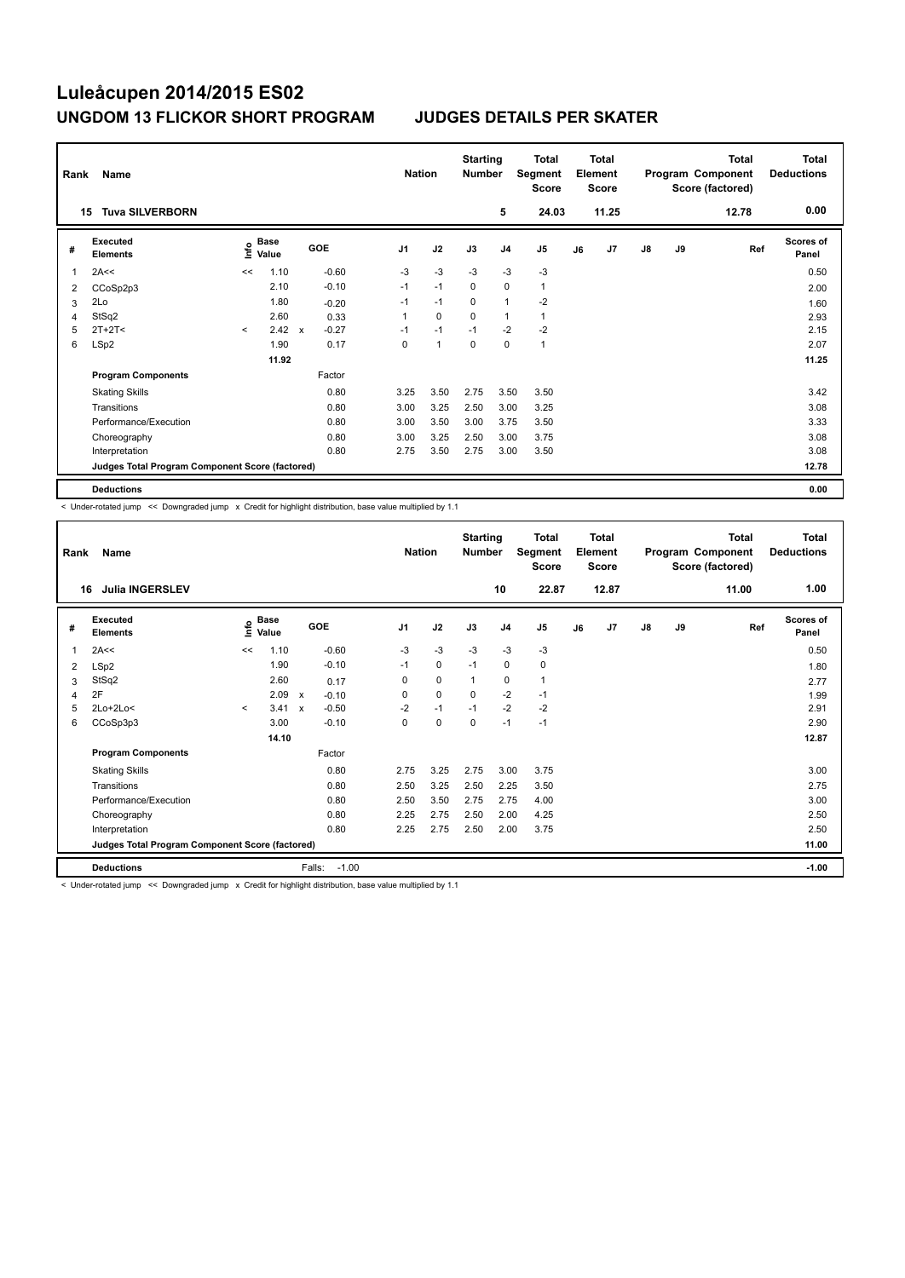| Rank | Name                                            |         |                                  |              |            |                | <b>Nation</b> | <b>Starting</b><br><b>Number</b> |                | <b>Total</b><br>Segment<br><b>Score</b> |    | <b>Total</b><br>Element<br><b>Score</b> |               |    | <b>Total</b><br>Program Component<br>Score (factored) | <b>Total</b><br><b>Deductions</b> |
|------|-------------------------------------------------|---------|----------------------------------|--------------|------------|----------------|---------------|----------------------------------|----------------|-----------------------------------------|----|-----------------------------------------|---------------|----|-------------------------------------------------------|-----------------------------------|
|      | <b>Tuva SILVERBORN</b><br>15                    |         |                                  |              |            |                |               |                                  | 5              | 24.03                                   |    | 11.25                                   |               |    | 12.78                                                 | 0.00                              |
| #    | <b>Executed</b><br><b>Elements</b>              |         | <b>Base</b><br>e Base<br>⊆ Value |              | <b>GOE</b> | J <sub>1</sub> | J2            | J3                               | J <sub>4</sub> | J5                                      | J6 | J7                                      | $\mathsf{J}8$ | J9 | Ref                                                   | <b>Scores of</b><br>Panel         |
| 1    | 2A<<                                            | <<      | 1.10                             |              | $-0.60$    | $-3$           | $-3$          | $-3$                             | $-3$           | -3                                      |    |                                         |               |    |                                                       | 0.50                              |
| 2    | CCoSp2p3                                        |         | 2.10                             |              | $-0.10$    | $-1$           | $-1$          | $\mathbf 0$                      | $\mathbf 0$    | $\mathbf{1}$                            |    |                                         |               |    |                                                       | 2.00                              |
| 3    | 2Lo                                             |         | 1.80                             |              | $-0.20$    | $-1$           | $-1$          | 0                                | $\overline{1}$ | $-2$                                    |    |                                         |               |    |                                                       | 1.60                              |
| 4    | StSq2                                           |         | 2.60                             |              | 0.33       | 1              | $\mathbf 0$   | $\mathbf 0$                      | $\overline{1}$ | $\mathbf{1}$                            |    |                                         |               |    |                                                       | 2.93                              |
| 5    | $2T+2T<$                                        | $\prec$ | 2.42                             | $\mathsf{x}$ | $-0.27$    | $-1$           | $-1$          | $-1$                             | $-2$           | $-2$                                    |    |                                         |               |    |                                                       | 2.15                              |
| 6    | LSp2                                            |         | 1.90                             |              | 0.17       | 0              | 1             | 0                                | 0              | $\mathbf{1}$                            |    |                                         |               |    |                                                       | 2.07                              |
|      |                                                 |         | 11.92                            |              |            |                |               |                                  |                |                                         |    |                                         |               |    |                                                       | 11.25                             |
|      | <b>Program Components</b>                       |         |                                  |              | Factor     |                |               |                                  |                |                                         |    |                                         |               |    |                                                       |                                   |
|      | <b>Skating Skills</b>                           |         |                                  |              | 0.80       | 3.25           | 3.50          | 2.75                             | 3.50           | 3.50                                    |    |                                         |               |    |                                                       | 3.42                              |
|      | Transitions                                     |         |                                  |              | 0.80       | 3.00           | 3.25          | 2.50                             | 3.00           | 3.25                                    |    |                                         |               |    |                                                       | 3.08                              |
|      | Performance/Execution                           |         |                                  |              | 0.80       | 3.00           | 3.50          | 3.00                             | 3.75           | 3.50                                    |    |                                         |               |    |                                                       | 3.33                              |
|      | Choreography                                    |         |                                  |              | 0.80       | 3.00           | 3.25          | 2.50                             | 3.00           | 3.75                                    |    |                                         |               |    |                                                       | 3.08                              |
|      | Interpretation                                  |         |                                  |              | 0.80       | 2.75           | 3.50          | 2.75                             | 3.00           | 3.50                                    |    |                                         |               |    |                                                       | 3.08                              |
|      | Judges Total Program Component Score (factored) |         |                                  |              |            |                |               |                                  |                |                                         |    |                                         |               |    |                                                       | 12.78                             |
|      | <b>Deductions</b>                               |         |                                  |              |            |                |               |                                  |                |                                         |    |                                         |               |    |                                                       | 0.00                              |

< Under-rotated jump << Downgraded jump x Credit for highlight distribution, base value multiplied by 1.1

| Rank<br>16 | Name<br><b>Julia INGERSLEV</b>                  |         |               |                                      | <b>Nation</b>  |             | <b>Starting</b><br><b>Number</b> | 10             | <b>Total</b><br>Segment<br><b>Score</b><br>22.87 |    | <b>Total</b><br>Element<br><b>Score</b><br>12.87 |               |    | <b>Total</b><br>Program Component<br>Score (factored)<br>11.00 | <b>Total</b><br><b>Deductions</b><br>1.00 |
|------------|-------------------------------------------------|---------|---------------|--------------------------------------|----------------|-------------|----------------------------------|----------------|--------------------------------------------------|----|--------------------------------------------------|---------------|----|----------------------------------------------------------------|-------------------------------------------|
| #          | Executed<br><b>Elements</b>                     | lnfo    | Base<br>Value | GOE                                  | J <sub>1</sub> | J2          | J3                               | J <sub>4</sub> | J5                                               | J6 | J7                                               | $\mathsf{J}8$ | J9 | Ref                                                            | <b>Scores of</b><br>Panel                 |
| 1          | 2A<<                                            | <<      | 1.10          | $-0.60$                              | $-3$           | $-3$        | $-3$                             | $-3$           | $-3$                                             |    |                                                  |               |    |                                                                | 0.50                                      |
| 2          | LSp2                                            |         | 1.90          | $-0.10$                              | $-1$           | $\mathbf 0$ | $-1$                             | $\mathbf 0$    | 0                                                |    |                                                  |               |    |                                                                | 1.80                                      |
| 3          | StSq2                                           |         | 2.60          | 0.17                                 | 0              | $\mathbf 0$ | $\mathbf{1}$                     | 0              | $\mathbf{1}$                                     |    |                                                  |               |    |                                                                | 2.77                                      |
| 4          | 2F                                              |         | 2.09          | $\boldsymbol{\mathsf{x}}$<br>$-0.10$ | 0              | $\mathbf 0$ | $\Omega$                         | $-2$           | $-1$                                             |    |                                                  |               |    |                                                                | 1.99                                      |
| 5          | $2Lo+2Lo<$                                      | $\prec$ | 3.41          | $-0.50$<br>$\boldsymbol{\mathsf{x}}$ | $-2$           | $-1$        | $-1$                             | $-2$           | $-2$                                             |    |                                                  |               |    |                                                                | 2.91                                      |
| 6          | CCoSp3p3                                        |         | 3.00          | $-0.10$                              | $\pmb{0}$      | $\pmb{0}$   | 0                                | $-1$           | $-1$                                             |    |                                                  |               |    |                                                                | 2.90                                      |
|            |                                                 |         | 14.10         |                                      |                |             |                                  |                |                                                  |    |                                                  |               |    |                                                                | 12.87                                     |
|            | <b>Program Components</b>                       |         |               | Factor                               |                |             |                                  |                |                                                  |    |                                                  |               |    |                                                                |                                           |
|            | <b>Skating Skills</b>                           |         |               | 0.80                                 | 2.75           | 3.25        | 2.75                             | 3.00           | 3.75                                             |    |                                                  |               |    |                                                                | 3.00                                      |
|            | Transitions                                     |         |               | 0.80                                 | 2.50           | 3.25        | 2.50                             | 2.25           | 3.50                                             |    |                                                  |               |    |                                                                | 2.75                                      |
|            | Performance/Execution                           |         |               | 0.80                                 | 2.50           | 3.50        | 2.75                             | 2.75           | 4.00                                             |    |                                                  |               |    |                                                                | 3.00                                      |
|            | Choreography                                    |         |               | 0.80                                 | 2.25           | 2.75        | 2.50                             | 2.00           | 4.25                                             |    |                                                  |               |    |                                                                | 2.50                                      |
|            | Interpretation                                  |         |               | 0.80                                 | 2.25           | 2.75        | 2.50                             | 2.00           | 3.75                                             |    |                                                  |               |    |                                                                | 2.50                                      |
|            | Judges Total Program Component Score (factored) |         |               |                                      |                |             |                                  |                |                                                  |    |                                                  |               |    |                                                                | 11.00                                     |
|            | <b>Deductions</b>                               |         |               | $-1.00$<br>Falls:                    |                |             |                                  |                |                                                  |    |                                                  |               |    |                                                                | $-1.00$                                   |

< Under-rotated jump << Downgraded jump x Credit for highlight distribution, base value multiplied by 1.1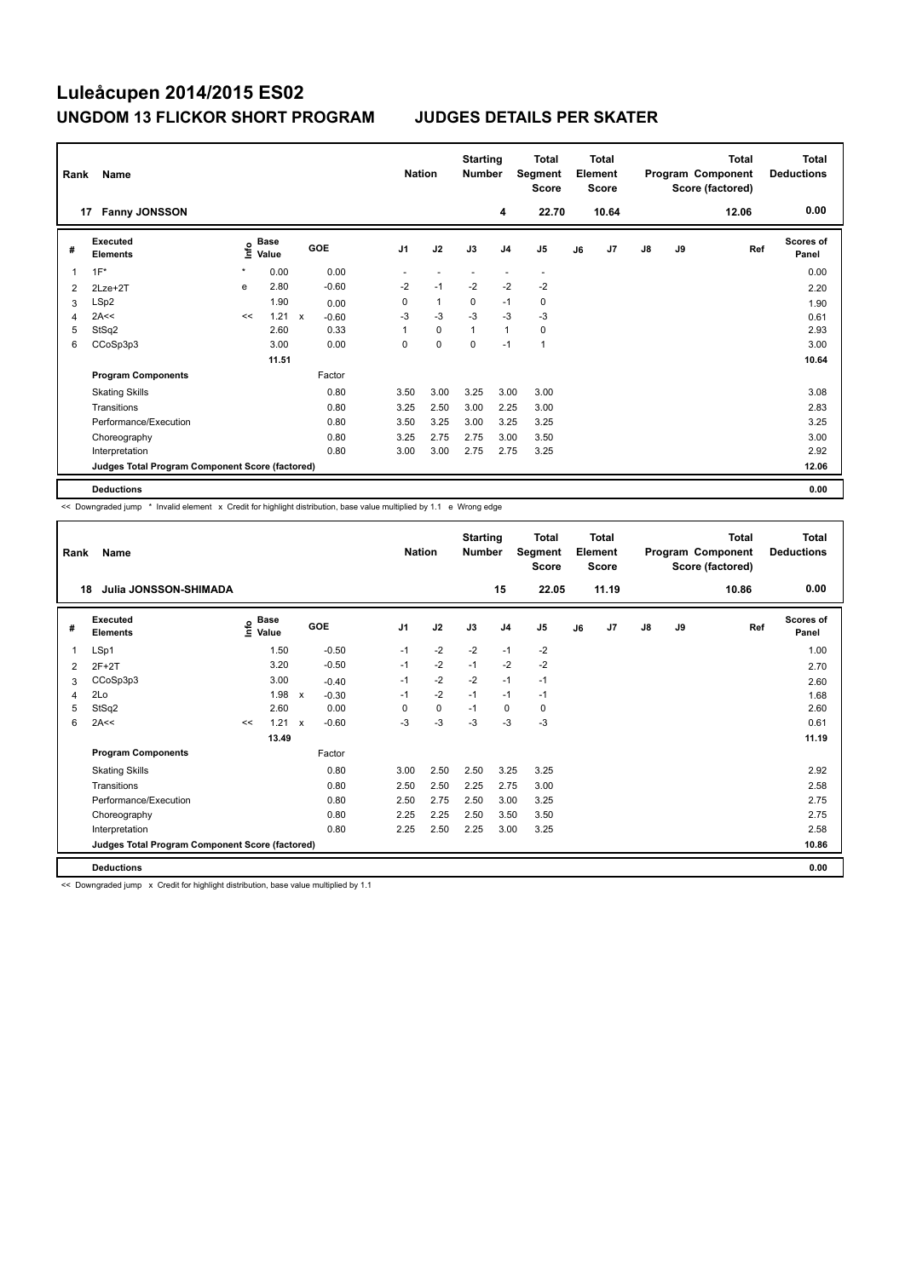| Rank | Name                                            |         |                      |              |         | <b>Nation</b>            |                          | <b>Starting</b><br><b>Number</b> |                | Total<br>Segment<br><b>Score</b> |    | <b>Total</b><br>Element<br><b>Score</b> |               |    | <b>Total</b><br>Program Component<br>Score (factored) | <b>Total</b><br><b>Deductions</b> |
|------|-------------------------------------------------|---------|----------------------|--------------|---------|--------------------------|--------------------------|----------------------------------|----------------|----------------------------------|----|-----------------------------------------|---------------|----|-------------------------------------------------------|-----------------------------------|
|      | <b>Fanny JONSSON</b><br>17                      |         |                      |              |         |                          |                          |                                  | 4              | 22.70                            |    | 10.64                                   |               |    | 12.06                                                 | 0.00                              |
| #    | Executed<br><b>Elements</b>                     | lnfo    | <b>Base</b><br>Value |              | GOE     | J <sub>1</sub>           | J2                       | J3                               | J <sub>4</sub> | J <sub>5</sub>                   | J6 | J7                                      | $\mathsf{J}8$ | J9 | Ref                                                   | Scores of<br>Panel                |
| 1    | $1F^*$                                          | $\star$ | 0.00                 |              | 0.00    | $\overline{\phantom{0}}$ | $\overline{\phantom{a}}$ |                                  | -              | $\overline{\phantom{a}}$         |    |                                         |               |    |                                                       | 0.00                              |
| 2    | 2Lze+2T                                         | e       | 2.80                 |              | $-0.60$ | $-2$                     | $-1$                     | $-2$                             | $-2$           | $-2$                             |    |                                         |               |    |                                                       | 2.20                              |
| 3    | LSp2                                            |         | 1.90                 |              | 0.00    | 0                        | $\mathbf{1}$             | 0                                | $-1$           | 0                                |    |                                         |               |    |                                                       | 1.90                              |
| 4    | 2A<<                                            | <<      | 1.21                 | $\mathsf{x}$ | $-0.60$ | $-3$                     | $-3$                     | $-3$                             | $-3$           | $-3$                             |    |                                         |               |    |                                                       | 0.61                              |
| 5    | StSq2                                           |         | 2.60                 |              | 0.33    | 1                        | 0                        | $\mathbf{1}$                     | $\mathbf{1}$   | 0                                |    |                                         |               |    |                                                       | 2.93                              |
| 6    | CCoSp3p3                                        |         | 3.00                 |              | 0.00    | 0                        | $\mathbf 0$              | 0                                | $-1$           | $\mathbf{1}$                     |    |                                         |               |    |                                                       | 3.00                              |
|      |                                                 |         | 11.51                |              |         |                          |                          |                                  |                |                                  |    |                                         |               |    |                                                       | 10.64                             |
|      | <b>Program Components</b>                       |         |                      |              | Factor  |                          |                          |                                  |                |                                  |    |                                         |               |    |                                                       |                                   |
|      | <b>Skating Skills</b>                           |         |                      |              | 0.80    | 3.50                     | 3.00                     | 3.25                             | 3.00           | 3.00                             |    |                                         |               |    |                                                       | 3.08                              |
|      | Transitions                                     |         |                      |              | 0.80    | 3.25                     | 2.50                     | 3.00                             | 2.25           | 3.00                             |    |                                         |               |    |                                                       | 2.83                              |
|      | Performance/Execution                           |         |                      |              | 0.80    | 3.50                     | 3.25                     | 3.00                             | 3.25           | 3.25                             |    |                                         |               |    |                                                       | 3.25                              |
|      | Choreography                                    |         |                      |              | 0.80    | 3.25                     | 2.75                     | 2.75                             | 3.00           | 3.50                             |    |                                         |               |    |                                                       | 3.00                              |
|      | Interpretation                                  |         |                      |              | 0.80    | 3.00                     | 3.00                     | 2.75                             | 2.75           | 3.25                             |    |                                         |               |    |                                                       | 2.92                              |
|      | Judges Total Program Component Score (factored) |         |                      |              |         |                          |                          |                                  |                |                                  |    |                                         |               |    |                                                       | 12.06                             |
|      | <b>Deductions</b>                               |         |                      |              |         |                          |                          |                                  |                |                                  |    |                                         |               |    |                                                       | 0.00                              |

<< Downgraded jump \* Invalid element x Credit for highlight distribution, base value multiplied by 1.1 e Wrong edge

| Rank | Name                                            |    |                                  |                           |         | <b>Nation</b>  |             | <b>Starting</b><br><b>Number</b> |                | <b>Total</b><br>Segment<br>Score |    | <b>Total</b><br>Element<br><b>Score</b> |               |    | <b>Total</b><br>Program Component<br>Score (factored) | <b>Total</b><br><b>Deductions</b> |
|------|-------------------------------------------------|----|----------------------------------|---------------------------|---------|----------------|-------------|----------------------------------|----------------|----------------------------------|----|-----------------------------------------|---------------|----|-------------------------------------------------------|-----------------------------------|
| 18   | Julia JONSSON-SHIMADA                           |    |                                  |                           |         |                |             |                                  | 15             | 22.05                            |    | 11.19                                   |               |    | 10.86                                                 | 0.00                              |
| #    | Executed<br><b>Elements</b>                     |    | <b>Base</b><br>e Base<br>⊆ Value |                           | GOE     | J <sub>1</sub> | J2          | J3                               | J <sub>4</sub> | J5                               | J6 | J7                                      | $\mathsf{J}8$ | J9 | Ref                                                   | <b>Scores of</b><br>Panel         |
| 1    | LSp1                                            |    | 1.50                             |                           | $-0.50$ | $-1$           | $-2$        | $-2$                             | $-1$           | $-2$                             |    |                                         |               |    |                                                       | 1.00                              |
| 2    | $2F+2T$                                         |    | 3.20                             |                           | $-0.50$ | $-1$           | $-2$        | $-1$                             | $-2$           | $-2$                             |    |                                         |               |    |                                                       | 2.70                              |
| 3    | CCoSp3p3                                        |    | 3.00                             |                           | $-0.40$ | $-1$           | $-2$        | $-2$                             | $-1$           | $-1$                             |    |                                         |               |    |                                                       | 2.60                              |
| 4    | 2Lo                                             |    | 1.98                             | $\boldsymbol{\mathsf{x}}$ | $-0.30$ | $-1$           | $-2$        | $-1$                             | $-1$           | $-1$                             |    |                                         |               |    |                                                       | 1.68                              |
| 5    | StSq2                                           |    | 2.60                             |                           | 0.00    | 0              | $\mathbf 0$ | $-1$                             | $\mathbf 0$    | 0                                |    |                                         |               |    |                                                       | 2.60                              |
| 6    | 2A<<                                            | << | 1.21                             | $\mathsf{x}$              | $-0.60$ | $-3$           | -3          | $-3$                             | $-3$           | $-3$                             |    |                                         |               |    |                                                       | 0.61                              |
|      |                                                 |    | 13.49                            |                           |         |                |             |                                  |                |                                  |    |                                         |               |    |                                                       | 11.19                             |
|      | <b>Program Components</b>                       |    |                                  |                           | Factor  |                |             |                                  |                |                                  |    |                                         |               |    |                                                       |                                   |
|      | <b>Skating Skills</b>                           |    |                                  |                           | 0.80    | 3.00           | 2.50        | 2.50                             | 3.25           | 3.25                             |    |                                         |               |    |                                                       | 2.92                              |
|      | Transitions                                     |    |                                  |                           | 0.80    | 2.50           | 2.50        | 2.25                             | 2.75           | 3.00                             |    |                                         |               |    |                                                       | 2.58                              |
|      | Performance/Execution                           |    |                                  |                           | 0.80    | 2.50           | 2.75        | 2.50                             | 3.00           | 3.25                             |    |                                         |               |    |                                                       | 2.75                              |
|      | Choreography                                    |    |                                  |                           | 0.80    | 2.25           | 2.25        | 2.50                             | 3.50           | 3.50                             |    |                                         |               |    |                                                       | 2.75                              |
|      | Interpretation                                  |    |                                  |                           | 0.80    | 2.25           | 2.50        | 2.25                             | 3.00           | 3.25                             |    |                                         |               |    |                                                       | 2.58                              |
|      | Judges Total Program Component Score (factored) |    |                                  |                           |         |                |             |                                  |                |                                  |    |                                         |               |    |                                                       | 10.86                             |
|      | <b>Deductions</b>                               |    |                                  |                           |         |                |             |                                  |                |                                  |    |                                         |               |    |                                                       | 0.00                              |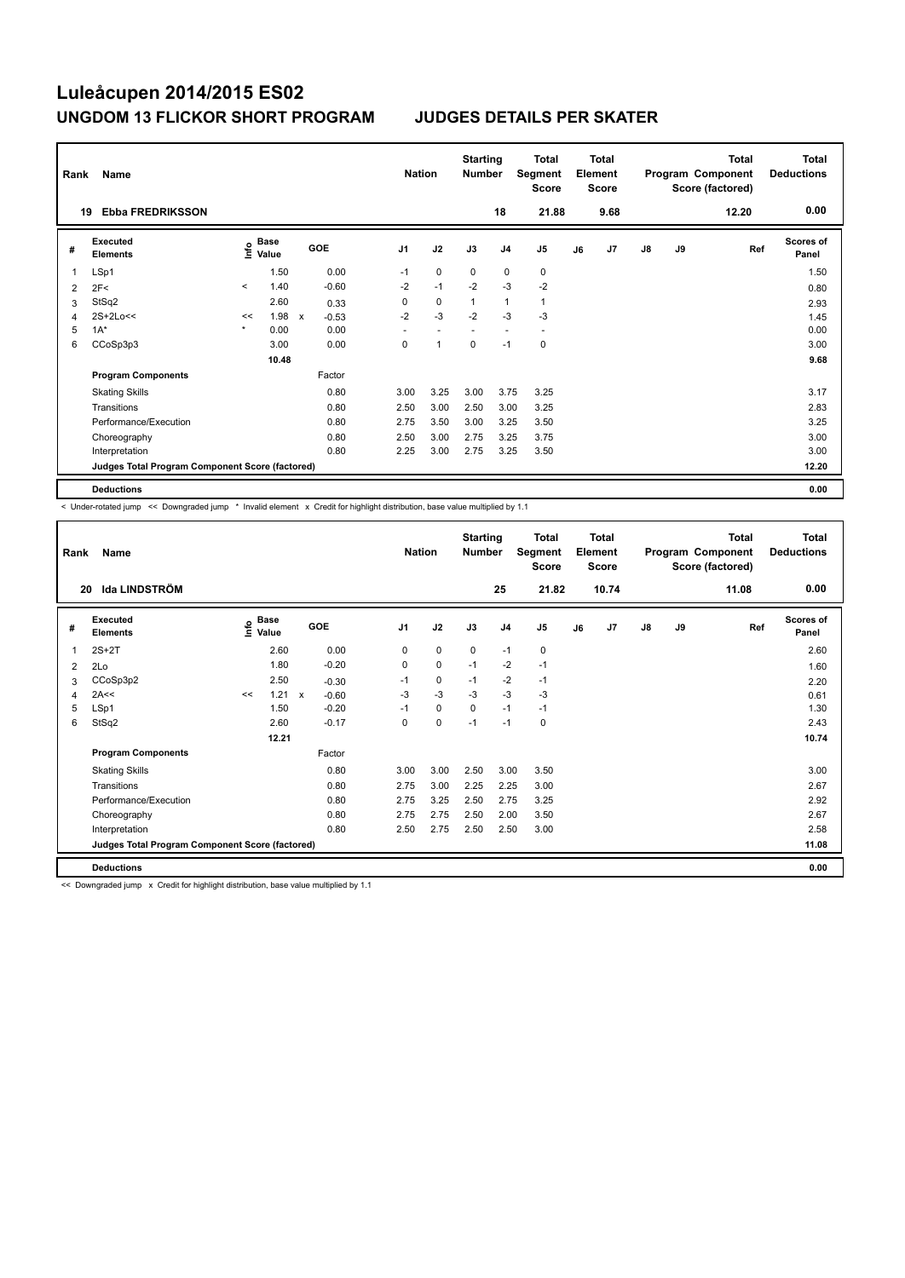| Rank | Name                                            |                          |                                  |              |            | <b>Nation</b>            |             | <b>Starting</b><br><b>Number</b> |                | <b>Total</b><br>Segment<br><b>Score</b> |    | <b>Total</b><br>Element<br><b>Score</b> |               |    | <b>Total</b><br>Program Component<br>Score (factored) | <b>Total</b><br><b>Deductions</b> |
|------|-------------------------------------------------|--------------------------|----------------------------------|--------------|------------|--------------------------|-------------|----------------------------------|----------------|-----------------------------------------|----|-----------------------------------------|---------------|----|-------------------------------------------------------|-----------------------------------|
|      | <b>Ebba FREDRIKSSON</b><br>19                   |                          |                                  |              |            |                          |             |                                  | 18             | 21.88                                   |    | 9.68                                    |               |    | 12.20                                                 | 0.00                              |
| #    | <b>Executed</b><br><b>Elements</b>              |                          | <b>Base</b><br>e Base<br>⊆ Value |              | <b>GOE</b> | J <sub>1</sub>           | J2          | J3                               | J <sub>4</sub> | J5                                      | J6 | J7                                      | $\mathsf{J}8$ | J9 | Ref                                                   | <b>Scores of</b><br>Panel         |
| 1    | LSp1                                            |                          | 1.50                             |              | 0.00       | $-1$                     | 0           | 0                                | 0              | 0                                       |    |                                         |               |    |                                                       | 1.50                              |
| 2    | 2F<                                             | $\overline{\phantom{a}}$ | 1.40                             |              | $-0.60$    | $-2$                     | $-1$        | $-2$                             | $-3$           | $-2$                                    |    |                                         |               |    |                                                       | 0.80                              |
| 3    | StSq2                                           |                          | 2.60                             |              | 0.33       | 0                        | $\mathbf 0$ | $\overline{1}$                   | $\overline{1}$ | $\mathbf{1}$                            |    |                                         |               |    |                                                       | 2.93                              |
| 4    | $2S+2Lo<<$                                      | <<                       | 1.98                             | $\mathsf{x}$ | $-0.53$    | $-2$                     | $-3$        | $-2$                             | $-3$           | $-3$                                    |    |                                         |               |    |                                                       | 1.45                              |
| 5    | $1A^*$                                          | $\star$                  | 0.00                             |              | 0.00       | $\overline{\phantom{a}}$ |             |                                  |                | $\overline{a}$                          |    |                                         |               |    |                                                       | 0.00                              |
| 6    | CCoSp3p3                                        |                          | 3.00                             |              | 0.00       | 0                        | 1           | 0                                | $-1$           | 0                                       |    |                                         |               |    |                                                       | 3.00                              |
|      |                                                 |                          | 10.48                            |              |            |                          |             |                                  |                |                                         |    |                                         |               |    |                                                       | 9.68                              |
|      | <b>Program Components</b>                       |                          |                                  |              | Factor     |                          |             |                                  |                |                                         |    |                                         |               |    |                                                       |                                   |
|      | <b>Skating Skills</b>                           |                          |                                  |              | 0.80       | 3.00                     | 3.25        | 3.00                             | 3.75           | 3.25                                    |    |                                         |               |    |                                                       | 3.17                              |
|      | Transitions                                     |                          |                                  |              | 0.80       | 2.50                     | 3.00        | 2.50                             | 3.00           | 3.25                                    |    |                                         |               |    |                                                       | 2.83                              |
|      | Performance/Execution                           |                          |                                  |              | 0.80       | 2.75                     | 3.50        | 3.00                             | 3.25           | 3.50                                    |    |                                         |               |    |                                                       | 3.25                              |
|      | Choreography                                    |                          |                                  |              | 0.80       | 2.50                     | 3.00        | 2.75                             | 3.25           | 3.75                                    |    |                                         |               |    |                                                       | 3.00                              |
|      | Interpretation                                  |                          |                                  |              | 0.80       | 2.25                     | 3.00        | 2.75                             | 3.25           | 3.50                                    |    |                                         |               |    |                                                       | 3.00                              |
|      | Judges Total Program Component Score (factored) |                          |                                  |              |            |                          |             |                                  |                |                                         |    |                                         |               |    |                                                       | 12.20                             |
|      | <b>Deductions</b>                               |                          |                                  |              |            |                          |             |                                  |                |                                         |    |                                         |               |    |                                                       | 0.00                              |

< Under-rotated jump << Downgraded jump \* Invalid element x Credit for highlight distribution, base value multiplied by 1.1

| Rank           | Name                                            |    |                             |              |         | <b>Nation</b>  |             | <b>Starting</b><br><b>Number</b> |                | <b>Total</b><br>Segment<br><b>Score</b> |    | <b>Total</b><br>Element<br><b>Score</b> |               |    | <b>Total</b><br>Program Component<br>Score (factored) | <b>Total</b><br><b>Deductions</b> |
|----------------|-------------------------------------------------|----|-----------------------------|--------------|---------|----------------|-------------|----------------------------------|----------------|-----------------------------------------|----|-----------------------------------------|---------------|----|-------------------------------------------------------|-----------------------------------|
| 20             | <b>Ida LINDSTRÖM</b>                            |    |                             |              |         |                |             |                                  | 25             | 21.82                                   |    | 10.74                                   |               |    | 11.08                                                 | 0.00                              |
| #              | Executed<br><b>Elements</b>                     |    | Base<br>$\frac{6}{5}$ Value | <b>GOE</b>   |         | J <sub>1</sub> | J2          | J3                               | J <sub>4</sub> | J <sub>5</sub>                          | J6 | J7                                      | $\mathsf{J}8$ | J9 | Ref                                                   | <b>Scores of</b><br>Panel         |
| 1              | $2S+2T$                                         |    | 2.60                        |              | 0.00    | 0              | $\mathbf 0$ | $\mathbf 0$                      | $-1$           | $\mathbf 0$                             |    |                                         |               |    |                                                       | 2.60                              |
| 2              | 2Lo                                             |    | 1.80                        |              | $-0.20$ | 0              | $\mathbf 0$ | $-1$                             | $-2$           | $-1$                                    |    |                                         |               |    |                                                       | 1.60                              |
| 3              | CCoSp3p2                                        |    | 2.50                        |              | $-0.30$ | $-1$           | $\pmb{0}$   | $-1$                             | $-2$           | $-1$                                    |    |                                         |               |    |                                                       | 2.20                              |
| $\overline{4}$ | 2A<<                                            | << | 1.21                        | $\mathsf{x}$ | $-0.60$ | -3             | $-3$        | $-3$                             | $-3$           | $-3$                                    |    |                                         |               |    |                                                       | 0.61                              |
| 5              | LSp1                                            |    | 1.50                        |              | $-0.20$ | $-1$           | $\mathbf 0$ | $\Omega$                         | $-1$           | $-1$                                    |    |                                         |               |    |                                                       | 1.30                              |
| 6              | StSq2                                           |    | 2.60                        |              | $-0.17$ | 0              | $\mathbf 0$ | $-1$                             | $-1$           | 0                                       |    |                                         |               |    |                                                       | 2.43                              |
|                |                                                 |    | 12.21                       |              |         |                |             |                                  |                |                                         |    |                                         |               |    |                                                       | 10.74                             |
|                | <b>Program Components</b>                       |    |                             |              | Factor  |                |             |                                  |                |                                         |    |                                         |               |    |                                                       |                                   |
|                | <b>Skating Skills</b>                           |    |                             |              | 0.80    | 3.00           | 3.00        | 2.50                             | 3.00           | 3.50                                    |    |                                         |               |    |                                                       | 3.00                              |
|                | Transitions                                     |    |                             |              | 0.80    | 2.75           | 3.00        | 2.25                             | 2.25           | 3.00                                    |    |                                         |               |    |                                                       | 2.67                              |
|                | Performance/Execution                           |    |                             |              | 0.80    | 2.75           | 3.25        | 2.50                             | 2.75           | 3.25                                    |    |                                         |               |    |                                                       | 2.92                              |
|                | Choreography                                    |    |                             |              | 0.80    | 2.75           | 2.75        | 2.50                             | 2.00           | 3.50                                    |    |                                         |               |    |                                                       | 2.67                              |
|                | Interpretation                                  |    |                             |              | 0.80    | 2.50           | 2.75        | 2.50                             | 2.50           | 3.00                                    |    |                                         |               |    |                                                       | 2.58                              |
|                | Judges Total Program Component Score (factored) |    |                             |              |         |                |             |                                  |                |                                         |    |                                         |               |    |                                                       | 11.08                             |
|                | <b>Deductions</b>                               |    |                             |              |         |                |             |                                  |                |                                         |    |                                         |               |    |                                                       | 0.00                              |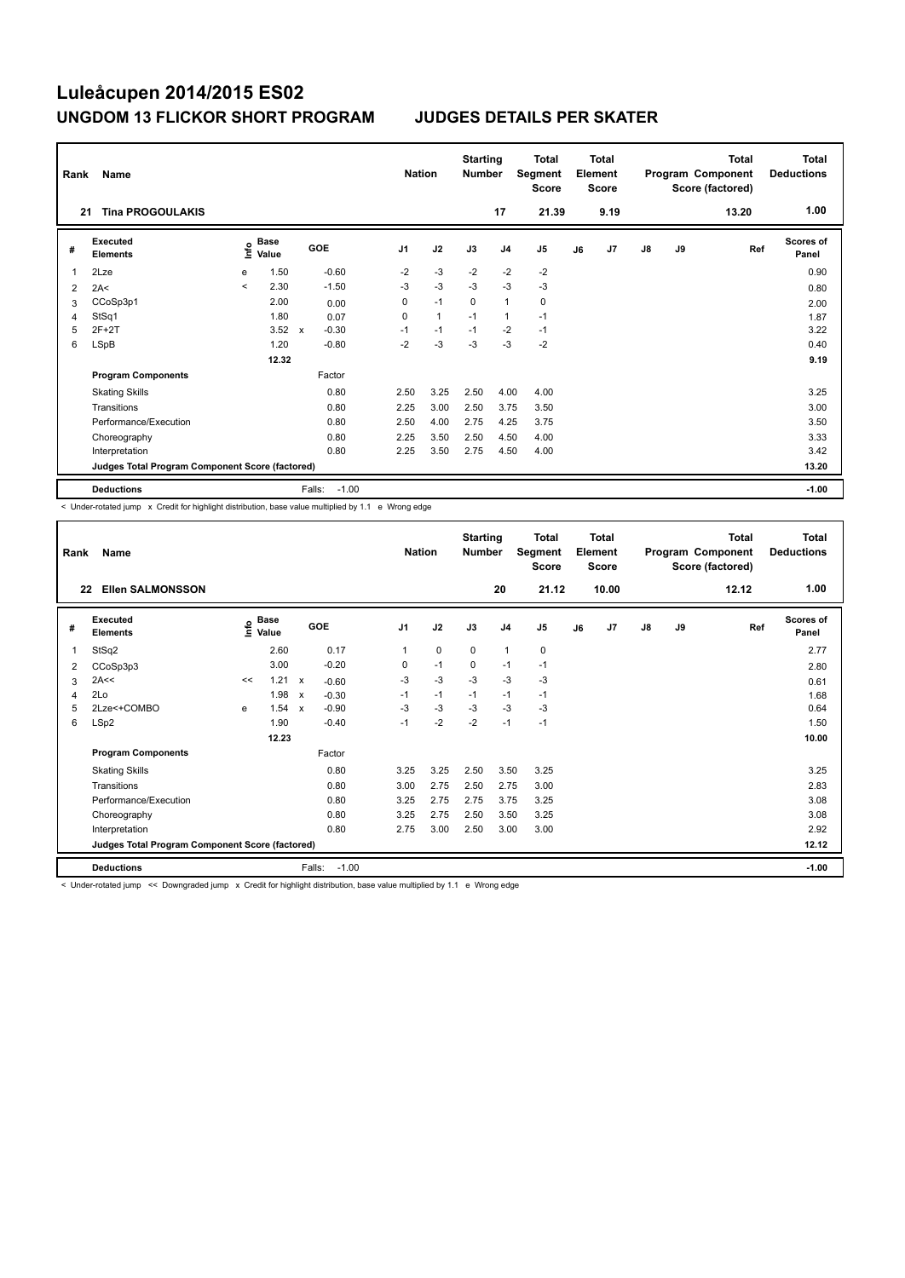| Rank<br>21 | Name<br><b>Tina PROGOULAKIS</b>                 |         |               |             |         | <b>Nation</b>  |              | <b>Starting</b><br><b>Number</b> | 17             | <b>Total</b><br>Segment<br><b>Score</b><br>21.39 |    | <b>Total</b><br>Element<br><b>Score</b><br>9.19 |               |    | <b>Total</b><br>Program Component<br>Score (factored)<br>13.20 | <b>Total</b><br><b>Deductions</b><br>1.00 |
|------------|-------------------------------------------------|---------|---------------|-------------|---------|----------------|--------------|----------------------------------|----------------|--------------------------------------------------|----|-------------------------------------------------|---------------|----|----------------------------------------------------------------|-------------------------------------------|
|            |                                                 |         |               |             |         |                |              |                                  |                |                                                  |    |                                                 |               |    |                                                                |                                           |
| #          | Executed<br><b>Elements</b>                     | ١nf٥    | Base<br>Value | GOE         |         | J <sub>1</sub> | J2           | J3                               | J <sub>4</sub> | J5                                               | J6 | J7                                              | $\mathsf{J}8$ | J9 | Ref                                                            | Scores of<br>Panel                        |
| 1          | 2Lze                                            | e       | 1.50          |             | $-0.60$ | $-2$           | $-3$         | $-2$                             | $-2$           | $-2$                                             |    |                                                 |               |    |                                                                | 0.90                                      |
| 2          | 2A<                                             | $\prec$ | 2.30          |             | $-1.50$ | $-3$           | $-3$         | $-3$                             | $-3$           | $-3$                                             |    |                                                 |               |    |                                                                | 0.80                                      |
| 3          | CCoSp3p1                                        |         | 2.00          |             | 0.00    | 0              | $-1$         | $\Omega$                         | $\mathbf{1}$   | $\mathbf 0$                                      |    |                                                 |               |    |                                                                | 2.00                                      |
| 4          | StSq1                                           |         | 1.80          |             | 0.07    | 0              | $\mathbf{1}$ | $-1$                             | 1              | $-1$                                             |    |                                                 |               |    |                                                                | 1.87                                      |
| 5          | $2F+2T$                                         |         | 3.52          | $\mathbf x$ | $-0.30$ | $-1$           | $-1$         | $-1$                             | $-2$           | $-1$                                             |    |                                                 |               |    |                                                                | 3.22                                      |
| 6          | <b>LSpB</b>                                     |         | 1.20          |             | $-0.80$ | $-2$           | $-3$         | $-3$                             | $-3$           | $-2$                                             |    |                                                 |               |    |                                                                | 0.40                                      |
|            |                                                 |         | 12.32         |             |         |                |              |                                  |                |                                                  |    |                                                 |               |    |                                                                | 9.19                                      |
|            | <b>Program Components</b>                       |         |               |             | Factor  |                |              |                                  |                |                                                  |    |                                                 |               |    |                                                                |                                           |
|            | <b>Skating Skills</b>                           |         |               |             | 0.80    | 2.50           | 3.25         | 2.50                             | 4.00           | 4.00                                             |    |                                                 |               |    |                                                                | 3.25                                      |
|            | Transitions                                     |         |               |             | 0.80    | 2.25           | 3.00         | 2.50                             | 3.75           | 3.50                                             |    |                                                 |               |    |                                                                | 3.00                                      |
|            | Performance/Execution                           |         |               |             | 0.80    | 2.50           | 4.00         | 2.75                             | 4.25           | 3.75                                             |    |                                                 |               |    |                                                                | 3.50                                      |
|            | Choreography                                    |         |               |             | 0.80    | 2.25           | 3.50         | 2.50                             | 4.50           | 4.00                                             |    |                                                 |               |    |                                                                | 3.33                                      |
|            | Interpretation                                  |         |               |             | 0.80    | 2.25           | 3.50         | 2.75                             | 4.50           | 4.00                                             |    |                                                 |               |    |                                                                | 3.42                                      |
|            | Judges Total Program Component Score (factored) |         |               |             |         |                |              |                                  |                |                                                  |    |                                                 |               |    |                                                                | 13.20                                     |
|            | <b>Deductions</b>                               |         |               | Falls:      | $-1.00$ |                |              |                                  |                |                                                  |    |                                                 |               |    |                                                                | $-1.00$                                   |

< Under-rotated jump x Credit for highlight distribution, base value multiplied by 1.1 e Wrong edge

| Rank<br>22 | Name<br><b>Ellen SALMONSSON</b>                 |      |                      |                           |            | <b>Nation</b>  |      | <b>Starting</b><br><b>Number</b> | 20             | <b>Total</b><br>Segment<br><b>Score</b><br>21.12 |    | <b>Total</b><br>Element<br><b>Score</b><br>10.00 |    |    | <b>Total</b><br>Program Component<br>Score (factored)<br>12.12 | Total<br><b>Deductions</b><br>1.00 |
|------------|-------------------------------------------------|------|----------------------|---------------------------|------------|----------------|------|----------------------------------|----------------|--------------------------------------------------|----|--------------------------------------------------|----|----|----------------------------------------------------------------|------------------------------------|
|            |                                                 |      |                      |                           |            |                |      |                                  |                |                                                  |    |                                                  |    |    |                                                                |                                    |
| #          | Executed<br><b>Elements</b>                     | ١nfo | <b>Base</b><br>Value |                           | <b>GOE</b> | J <sub>1</sub> | J2   | J3                               | J <sub>4</sub> | J <sub>5</sub>                                   | J6 | J7                                               | J8 | J9 | Ref                                                            | <b>Scores of</b><br>Panel          |
| 1          | StSq2                                           |      | 2.60                 |                           | 0.17       | 1              | 0    | $\mathbf 0$                      | $\mathbf{1}$   | $\pmb{0}$                                        |    |                                                  |    |    |                                                                | 2.77                               |
| 2          | CCoSp3p3                                        |      | 3.00                 |                           | $-0.20$    | 0              | $-1$ | 0                                | $-1$           | $-1$                                             |    |                                                  |    |    |                                                                | 2.80                               |
| 3          | 2A<<                                            | <<   | 1.21                 | $\boldsymbol{\mathsf{x}}$ | $-0.60$    | $-3$           | $-3$ | $-3$                             | $-3$           | $-3$                                             |    |                                                  |    |    |                                                                | 0.61                               |
| 4          | 2Lo                                             |      | 1.98                 | $\boldsymbol{\mathsf{x}}$ | $-0.30$    | $-1$           | $-1$ | $-1$                             | $-1$           | $-1$                                             |    |                                                  |    |    |                                                                | 1.68                               |
| 5          | 2Lze<+COMBO                                     | e    | 1.54 x               |                           | $-0.90$    | $-3$           | $-3$ | $-3$                             | $-3$           | $-3$                                             |    |                                                  |    |    |                                                                | 0.64                               |
| 6          | LSp2                                            |      | 1.90                 |                           | $-0.40$    | $-1$           | $-2$ | $-2$                             | $-1$           | $-1$                                             |    |                                                  |    |    |                                                                | 1.50                               |
|            |                                                 |      | 12.23                |                           |            |                |      |                                  |                |                                                  |    |                                                  |    |    |                                                                | 10.00                              |
|            | <b>Program Components</b>                       |      |                      |                           | Factor     |                |      |                                  |                |                                                  |    |                                                  |    |    |                                                                |                                    |
|            | <b>Skating Skills</b>                           |      |                      |                           | 0.80       | 3.25           | 3.25 | 2.50                             | 3.50           | 3.25                                             |    |                                                  |    |    |                                                                | 3.25                               |
|            | Transitions                                     |      |                      |                           | 0.80       | 3.00           | 2.75 | 2.50                             | 2.75           | 3.00                                             |    |                                                  |    |    |                                                                | 2.83                               |
|            | Performance/Execution                           |      |                      |                           | 0.80       | 3.25           | 2.75 | 2.75                             | 3.75           | 3.25                                             |    |                                                  |    |    |                                                                | 3.08                               |
|            | Choreography                                    |      |                      |                           | 0.80       | 3.25           | 2.75 | 2.50                             | 3.50           | 3.25                                             |    |                                                  |    |    |                                                                | 3.08                               |
|            | Interpretation                                  |      |                      |                           | 0.80       | 2.75           | 3.00 | 2.50                             | 3.00           | 3.00                                             |    |                                                  |    |    |                                                                | 2.92                               |
|            | Judges Total Program Component Score (factored) |      |                      |                           |            |                |      |                                  |                |                                                  |    |                                                  |    |    |                                                                | 12.12                              |
|            | <b>Deductions</b>                               |      |                      | Falls:                    | $-1.00$    |                |      |                                  |                |                                                  |    |                                                  |    |    |                                                                | $-1.00$                            |

< Under-rotated jump << Downgraded jump x Credit for highlight distribution, base value multiplied by 1.1 e Wrong edge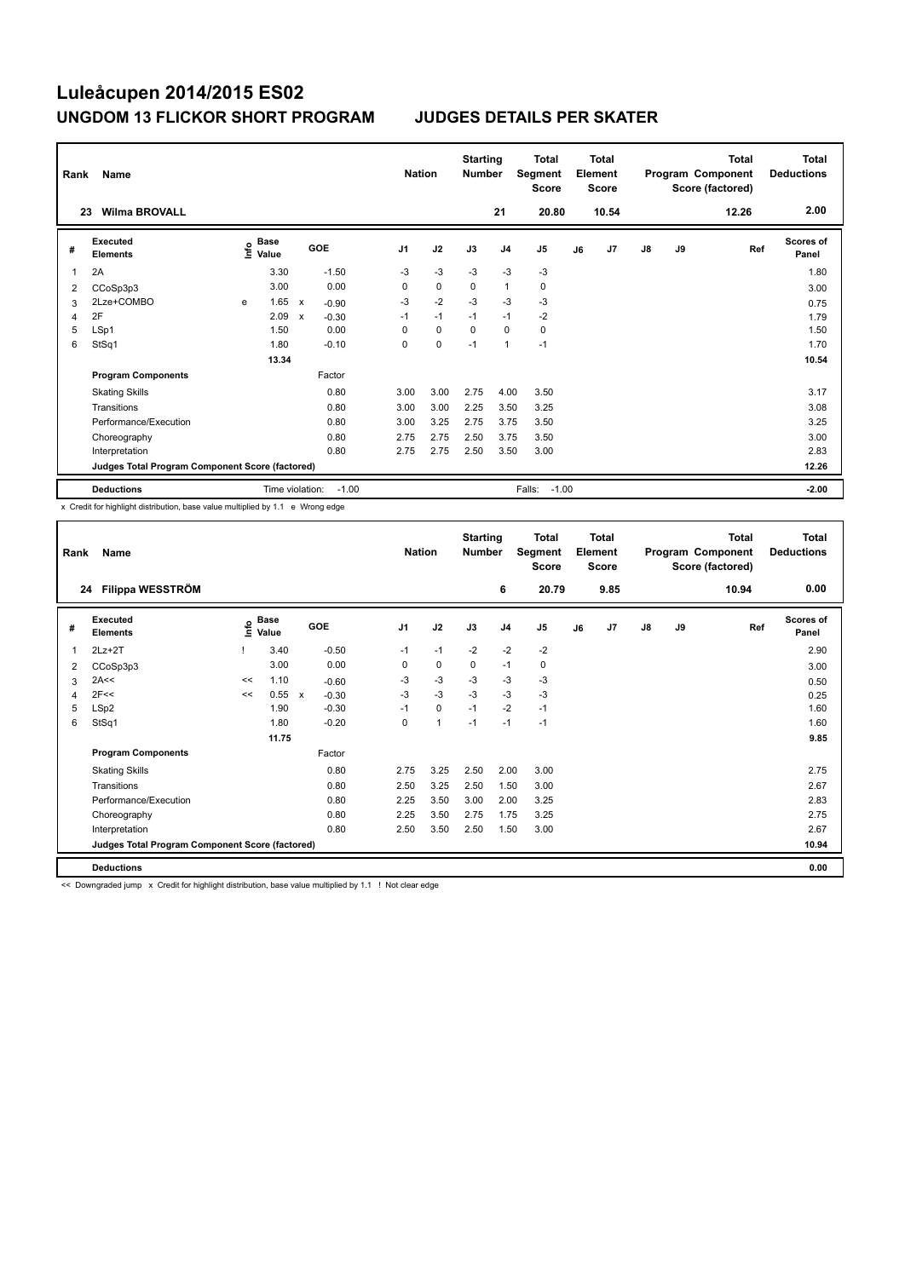| Rank<br>23 | Name<br><b>Wilma BROVALL</b>                    |   |                                  |   |         | <b>Nation</b>  |             | <b>Starting</b><br><b>Number</b> | 21             | <b>Total</b><br>Segment<br><b>Score</b><br>20.80 |    | <b>Total</b><br>Element<br><b>Score</b><br>10.54 |               |    | Total<br>Program Component<br>Score (factored)<br>12.26 | Total<br><b>Deductions</b><br>2.00 |
|------------|-------------------------------------------------|---|----------------------------------|---|---------|----------------|-------------|----------------------------------|----------------|--------------------------------------------------|----|--------------------------------------------------|---------------|----|---------------------------------------------------------|------------------------------------|
| #          | <b>Executed</b><br><b>Elements</b>              |   | <b>Base</b><br>e Base<br>⊆ Value |   | GOE     | J <sub>1</sub> | J2          | J3                               | J <sub>4</sub> | J5                                               | J6 | J7                                               | $\mathsf{J}8$ | J9 | Ref                                                     | Scores of<br>Panel                 |
| 1          | 2A                                              |   | 3.30                             |   | $-1.50$ | $-3$           | $-3$        | $-3$                             | $-3$           | $-3$                                             |    |                                                  |               |    |                                                         | 1.80                               |
| 2          | CCoSp3p3                                        |   | 3.00                             |   | 0.00    | 0              | $\mathbf 0$ | 0                                | $\mathbf{1}$   | 0                                                |    |                                                  |               |    |                                                         | 3.00                               |
| 3          | 2Lze+COMBO                                      | e | 1.65                             | X | $-0.90$ | $-3$           | $-2$        | $-3$                             | $-3$           | $-3$                                             |    |                                                  |               |    |                                                         | 0.75                               |
| 4          | 2F                                              |   | 2.09                             | X | $-0.30$ | $-1$           | $-1$        | $-1$                             | $-1$           | $-2$                                             |    |                                                  |               |    |                                                         | 1.79                               |
| 5          | LSp1                                            |   | 1.50                             |   | 0.00    | 0              | $\mathbf 0$ | $\mathbf 0$                      | $\mathbf 0$    | $\mathbf 0$                                      |    |                                                  |               |    |                                                         | 1.50                               |
| 6          | StSq1                                           |   | 1.80                             |   | $-0.10$ | 0              | $\pmb{0}$   | $-1$                             | $\overline{1}$ | $-1$                                             |    |                                                  |               |    |                                                         | 1.70                               |
|            |                                                 |   | 13.34                            |   |         |                |             |                                  |                |                                                  |    |                                                  |               |    |                                                         | 10.54                              |
|            | <b>Program Components</b>                       |   |                                  |   | Factor  |                |             |                                  |                |                                                  |    |                                                  |               |    |                                                         |                                    |
|            | <b>Skating Skills</b>                           |   |                                  |   | 0.80    | 3.00           | 3.00        | 2.75                             | 4.00           | 3.50                                             |    |                                                  |               |    |                                                         | 3.17                               |
|            | Transitions                                     |   |                                  |   | 0.80    | 3.00           | 3.00        | 2.25                             | 3.50           | 3.25                                             |    |                                                  |               |    |                                                         | 3.08                               |
|            | Performance/Execution                           |   |                                  |   | 0.80    | 3.00           | 3.25        | 2.75                             | 3.75           | 3.50                                             |    |                                                  |               |    |                                                         | 3.25                               |
|            | Choreography                                    |   |                                  |   | 0.80    | 2.75           | 2.75        | 2.50                             | 3.75           | 3.50                                             |    |                                                  |               |    |                                                         | 3.00                               |
|            | Interpretation                                  |   |                                  |   | 0.80    | 2.75           | 2.75        | 2.50                             | 3.50           | 3.00                                             |    |                                                  |               |    |                                                         | 2.83                               |
|            | Judges Total Program Component Score (factored) |   |                                  |   |         |                |             |                                  |                |                                                  |    |                                                  |               |    |                                                         | 12.26                              |
|            | <b>Deductions</b>                               |   | Time violation:                  |   | $-1.00$ |                |             |                                  |                | Falls:<br>$-1.00$                                |    |                                                  |               |    |                                                         | $-2.00$                            |

x Credit for highlight distribution, base value multiplied by 1.1 e Wrong edge

| Rank | Name                                            |    |                                    |                         | <b>Nation</b>  |             | <b>Starting</b><br><b>Number</b> |                | <b>Total</b><br>Segment<br><b>Score</b> |    | <b>Total</b><br>Element<br><b>Score</b> |               |    | <b>Total</b><br>Program Component<br>Score (factored) | <b>Total</b><br><b>Deductions</b> |
|------|-------------------------------------------------|----|------------------------------------|-------------------------|----------------|-------------|----------------------------------|----------------|-----------------------------------------|----|-----------------------------------------|---------------|----|-------------------------------------------------------|-----------------------------------|
| 24   | Filippa WESSTRÖM                                |    |                                    |                         |                |             |                                  | 6              | 20.79                                   |    | 9.85                                    |               |    | 10.94                                                 | 0.00                              |
| #    | Executed<br><b>Elements</b>                     |    | <b>Base</b><br>$\frac{6}{5}$ Value | <b>GOE</b>              | J <sub>1</sub> | J2          | J3                               | J <sub>4</sub> | J5                                      | J6 | J7                                      | $\mathsf{J}8$ | J9 | Ref                                                   | <b>Scores of</b><br>Panel         |
| 1    | $2Lz+2T$                                        |    | 3.40                               | $-0.50$                 | $-1$           | $-1$        | $-2$                             | $-2$           | $-2$                                    |    |                                         |               |    |                                                       | 2.90                              |
| 2    | CCoSp3p3                                        |    | 3.00                               | 0.00                    | 0              | $\pmb{0}$   | 0                                | $-1$           | 0                                       |    |                                         |               |    |                                                       | 3.00                              |
| 3    | 2A<<                                            | << | 1.10                               | $-0.60$                 | $-3$           | $-3$        | $-3$                             | $-3$           | $-3$                                    |    |                                         |               |    |                                                       | 0.50                              |
| 4    | 2F<<                                            | << | 0.55                               | $-0.30$<br>$\mathsf{x}$ | $-3$           | $-3$        | $-3$                             | $-3$           | $-3$                                    |    |                                         |               |    |                                                       | 0.25                              |
| 5    | LSp2                                            |    | 1.90                               | $-0.30$                 | $-1$           | $\mathbf 0$ | $-1$                             | $-2$           | $-1$                                    |    |                                         |               |    |                                                       | 1.60                              |
| 6    | StSq1                                           |    | 1.80                               | $-0.20$                 | 0              | 1           | $-1$                             | $-1$           | $-1$                                    |    |                                         |               |    |                                                       | 1.60                              |
|      |                                                 |    | 11.75                              |                         |                |             |                                  |                |                                         |    |                                         |               |    |                                                       | 9.85                              |
|      | <b>Program Components</b>                       |    |                                    | Factor                  |                |             |                                  |                |                                         |    |                                         |               |    |                                                       |                                   |
|      | <b>Skating Skills</b>                           |    |                                    | 0.80                    | 2.75           | 3.25        | 2.50                             | 2.00           | 3.00                                    |    |                                         |               |    |                                                       | 2.75                              |
|      | Transitions                                     |    |                                    | 0.80                    | 2.50           | 3.25        | 2.50                             | 1.50           | 3.00                                    |    |                                         |               |    |                                                       | 2.67                              |
|      | Performance/Execution                           |    |                                    | 0.80                    | 2.25           | 3.50        | 3.00                             | 2.00           | 3.25                                    |    |                                         |               |    |                                                       | 2.83                              |
|      | Choreography                                    |    |                                    | 0.80                    | 2.25           | 3.50        | 2.75                             | 1.75           | 3.25                                    |    |                                         |               |    |                                                       | 2.75                              |
|      | Interpretation                                  |    |                                    | 0.80                    | 2.50           | 3.50        | 2.50                             | 1.50           | 3.00                                    |    |                                         |               |    |                                                       | 2.67                              |
|      | Judges Total Program Component Score (factored) |    |                                    |                         |                |             |                                  |                |                                         |    |                                         |               |    |                                                       | 10.94                             |
|      | <b>Deductions</b>                               |    |                                    |                         |                |             |                                  |                |                                         |    |                                         |               |    |                                                       | 0.00                              |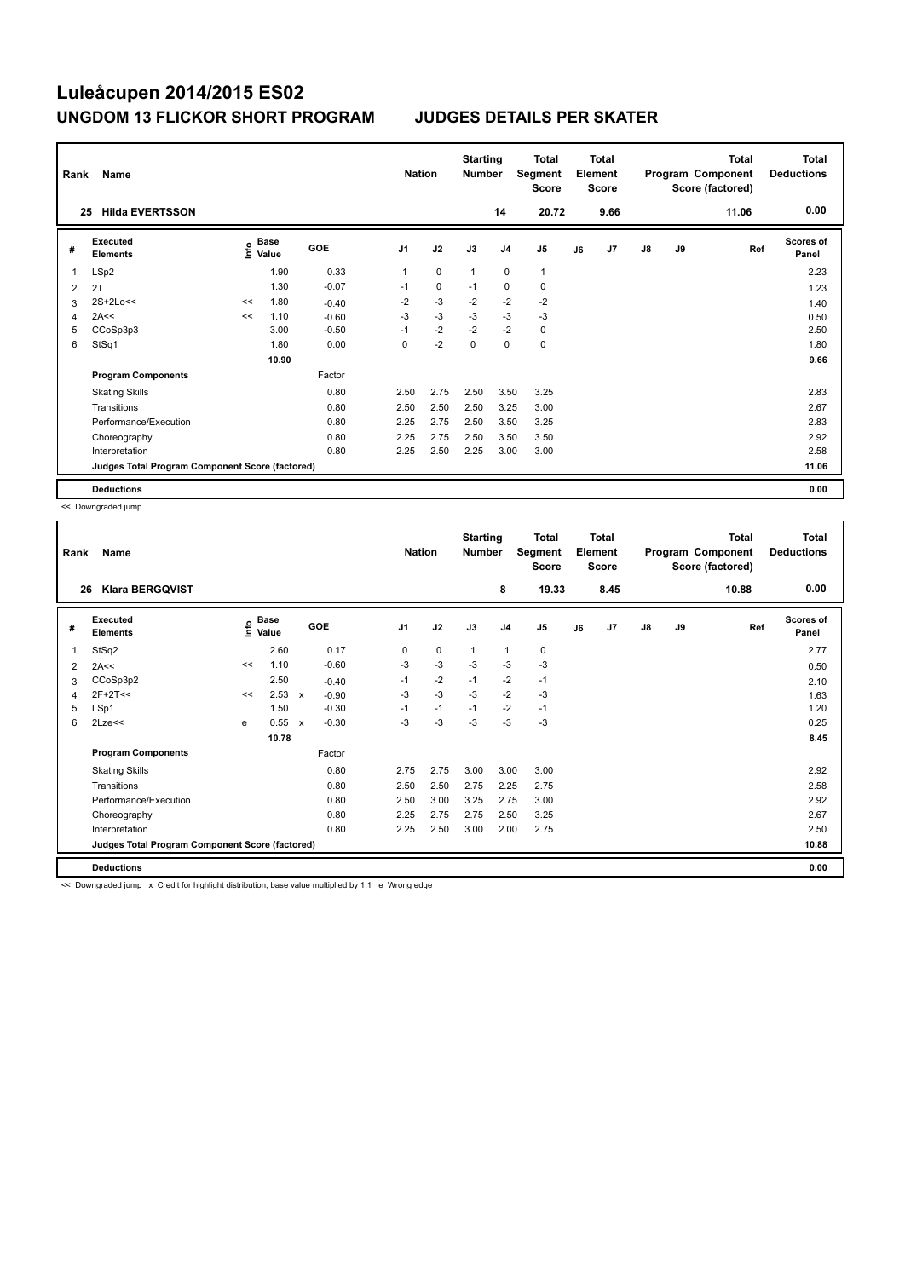| Rank<br>Name |                                                 |       |                                      |         |                | <b>Nation</b> |      | <b>Starting</b><br><b>Number</b> | Total<br>Segment<br><b>Score</b> | <b>Total</b><br>Element<br><b>Score</b> |      | Program Component<br>Score (factored) |           | <b>Total</b> | <b>Total</b><br><b>Deductions</b> |
|--------------|-------------------------------------------------|-------|--------------------------------------|---------|----------------|---------------|------|----------------------------------|----------------------------------|-----------------------------------------|------|---------------------------------------|-----------|--------------|-----------------------------------|
|              | <b>Hilda EVERTSSON</b><br>25                    |       |                                      |         |                |               |      | 14                               | 20.72                            |                                         | 9.66 |                                       |           | 11.06        | 0.00                              |
| #            | Executed<br><b>Elements</b>                     |       | Base<br>e <sup>Base</sup><br>⊆ Value | GOE     | J <sub>1</sub> | J2            | J3   | J <sub>4</sub>                   | J5                               | J6                                      | J7   | $\mathsf{J}8$                         | <b>J9</b> | Ref          | Scores of<br>Panel                |
| 1            | LSp2                                            |       | 1.90                                 | 0.33    | 1              | $\mathbf 0$   | 1    | $\mathbf 0$                      | $\mathbf{1}$                     |                                         |      |                                       |           |              | 2.23                              |
| 2            | 2T                                              |       | 1.30                                 | $-0.07$ | $-1$           | $\mathbf 0$   | $-1$ | $\mathbf 0$                      | $\mathbf 0$                      |                                         |      |                                       |           |              | 1.23                              |
| 3            | $2S+2Lo<<$                                      | <<    | 1.80                                 | $-0.40$ | $-2$           | $-3$          | $-2$ | $-2$                             | $-2$                             |                                         |      |                                       |           |              | 1.40                              |
| 4            | 2A<<                                            | <<    | 1.10                                 | $-0.60$ | $-3$           | $-3$          | $-3$ | $-3$                             | $-3$                             |                                         |      |                                       |           |              | 0.50                              |
| 5            | CCoSp3p3                                        |       | 3.00                                 | $-0.50$ | $-1$           | $-2$          | $-2$ | $-2$                             | 0                                |                                         |      |                                       |           |              | 2.50                              |
| 6            | StSq1                                           |       | 1.80                                 | 0.00    | 0              | $-2$          | 0    | 0                                | 0                                |                                         |      |                                       |           |              | 1.80                              |
|              |                                                 | 10.90 |                                      |         |                |               |      |                                  |                                  |                                         |      |                                       |           |              | 9.66                              |
|              | <b>Program Components</b>                       |       |                                      | Factor  |                |               |      |                                  |                                  |                                         |      |                                       |           |              |                                   |
|              | <b>Skating Skills</b>                           |       |                                      | 0.80    | 2.50           | 2.75          | 2.50 | 3.50                             | 3.25                             |                                         |      |                                       |           |              | 2.83                              |
|              | Transitions                                     |       |                                      | 0.80    | 2.50           | 2.50          | 2.50 | 3.25                             | 3.00                             |                                         |      |                                       |           |              | 2.67                              |
|              | Performance/Execution                           |       |                                      | 0.80    | 2.25           | 2.75          | 2.50 | 3.50                             | 3.25                             |                                         |      |                                       |           |              | 2.83                              |
|              | Choreography                                    |       |                                      | 0.80    | 2.25           | 2.75          | 2.50 | 3.50                             | 3.50                             |                                         |      |                                       |           |              | 2.92                              |
|              | Interpretation                                  |       |                                      | 0.80    | 2.25           | 2.50          | 2.25 | 3.00                             | 3.00                             |                                         |      |                                       |           |              | 2.58                              |
|              | Judges Total Program Component Score (factored) |       |                                      |         |                |               |      |                                  |                                  |                                         |      |                                       |           |              | 11.06                             |
|              | <b>Deductions</b>                               |       |                                      |         |                |               |      |                                  |                                  |                                         |      |                                       |           |              | 0.00                              |

<< Downgraded jump

| Rank | Name                                            |    |                                  |              |         |                | <b>Nation</b> |              | <b>Starting</b><br><b>Number</b> | <b>Total</b><br>Segment<br><b>Score</b> | <b>Total</b><br>Element<br><b>Score</b> |      | Program Component |    | <b>Total</b><br>Score (factored) | <b>Total</b><br><b>Deductions</b> |
|------|-------------------------------------------------|----|----------------------------------|--------------|---------|----------------|---------------|--------------|----------------------------------|-----------------------------------------|-----------------------------------------|------|-------------------|----|----------------------------------|-----------------------------------|
| 26   | <b>Klara BERGQVIST</b>                          |    |                                  |              |         |                |               |              | 8                                | 19.33                                   |                                         | 8.45 |                   |    | 10.88                            | 0.00                              |
| #    | Executed<br><b>Elements</b>                     |    | <b>Base</b><br>e Base<br>⊆ Value |              | GOE     | J <sub>1</sub> | J2            | J3           | J <sub>4</sub>                   | J <sub>5</sub>                          | J6                                      | J7   | J8                | J9 | Ref                              | Scores of<br>Panel                |
| 1    | StSq2                                           |    | 2.60                             |              | 0.17    | 0              | 0             | $\mathbf{1}$ | 1                                | 0                                       |                                         |      |                   |    |                                  | 2.77                              |
| 2    | 2A<<                                            | << | 1.10                             |              | $-0.60$ | $-3$           | $-3$          | $-3$         | $-3$                             | $-3$                                    |                                         |      |                   |    |                                  | 0.50                              |
| 3    | CCoSp3p2                                        |    | 2.50                             |              | $-0.40$ | $-1$           | $-2$          | $-1$         | $-2$                             | $-1$                                    |                                         |      |                   |    |                                  | 2.10                              |
| 4    | $2F+2T<<$                                       | << | $2.53 \times$                    |              | $-0.90$ | $-3$           | $-3$          | $-3$         | $-2$                             | $-3$                                    |                                         |      |                   |    |                                  | 1.63                              |
| 5    | LSp1                                            |    | 1.50                             |              | $-0.30$ | $-1$           | $-1$          | $-1$         | $-2$                             | $-1$                                    |                                         |      |                   |    |                                  | 1.20                              |
| 6    | $2$ Lze $<<$                                    | e  | 0.55                             | $\mathsf{x}$ | $-0.30$ | $-3$           | $-3$          | -3           | $-3$                             | $-3$                                    |                                         |      |                   |    |                                  | 0.25                              |
|      |                                                 |    | 10.78                            |              |         |                |               |              |                                  |                                         |                                         |      |                   |    |                                  | 8.45                              |
|      | <b>Program Components</b>                       |    |                                  |              | Factor  |                |               |              |                                  |                                         |                                         |      |                   |    |                                  |                                   |
|      | <b>Skating Skills</b>                           |    |                                  |              | 0.80    | 2.75           | 2.75          | 3.00         | 3.00                             | 3.00                                    |                                         |      |                   |    |                                  | 2.92                              |
|      | Transitions                                     |    |                                  |              | 0.80    | 2.50           | 2.50          | 2.75         | 2.25                             | 2.75                                    |                                         |      |                   |    |                                  | 2.58                              |
|      | Performance/Execution                           |    |                                  |              | 0.80    | 2.50           | 3.00          | 3.25         | 2.75                             | 3.00                                    |                                         |      |                   |    |                                  | 2.92                              |
|      | Choreography                                    |    |                                  |              | 0.80    | 2.25           | 2.75          | 2.75         | 2.50                             | 3.25                                    |                                         |      |                   |    |                                  | 2.67                              |
|      | Interpretation                                  |    |                                  |              | 0.80    | 2.25           | 2.50          | 3.00         | 2.00                             | 2.75                                    |                                         |      |                   |    |                                  | 2.50                              |
|      | Judges Total Program Component Score (factored) |    |                                  |              |         |                |               |              |                                  |                                         |                                         |      |                   |    |                                  | 10.88                             |
|      | <b>Deductions</b>                               |    |                                  |              |         |                |               |              |                                  |                                         |                                         |      |                   |    |                                  | 0.00                              |